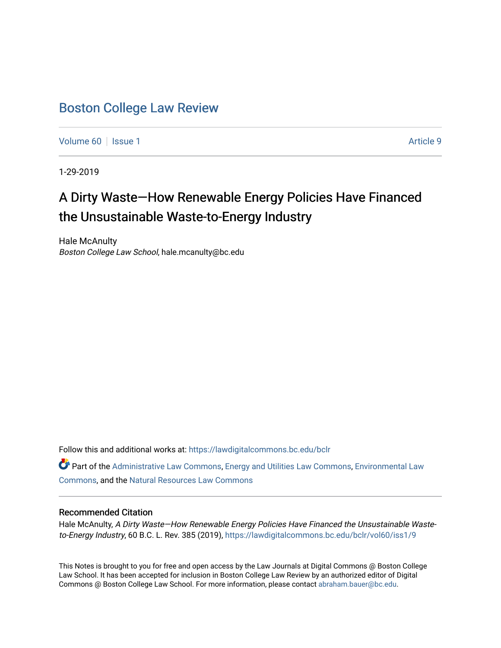# [Boston College Law Review](https://lawdigitalcommons.bc.edu/bclr)

[Volume 60](https://lawdigitalcommons.bc.edu/bclr/vol60) | [Issue 1](https://lawdigitalcommons.bc.edu/bclr/vol60/iss1) Article 9

1-29-2019

# A Dirty Waste-How Renewable Energy Policies Have Financed the Unsustainable Waste-to-Energy Industry

Hale McAnulty Boston College Law School, hale.mcanulty@bc.edu

Follow this and additional works at: [https://lawdigitalcommons.bc.edu/bclr](https://lawdigitalcommons.bc.edu/bclr?utm_source=lawdigitalcommons.bc.edu%2Fbclr%2Fvol60%2Fiss1%2F9&utm_medium=PDF&utm_campaign=PDFCoverPages) 

Part of the [Administrative Law Commons,](http://network.bepress.com/hgg/discipline/579?utm_source=lawdigitalcommons.bc.edu%2Fbclr%2Fvol60%2Fiss1%2F9&utm_medium=PDF&utm_campaign=PDFCoverPages) [Energy and Utilities Law Commons](http://network.bepress.com/hgg/discipline/891?utm_source=lawdigitalcommons.bc.edu%2Fbclr%2Fvol60%2Fiss1%2F9&utm_medium=PDF&utm_campaign=PDFCoverPages), [Environmental Law](http://network.bepress.com/hgg/discipline/599?utm_source=lawdigitalcommons.bc.edu%2Fbclr%2Fvol60%2Fiss1%2F9&utm_medium=PDF&utm_campaign=PDFCoverPages) [Commons](http://network.bepress.com/hgg/discipline/599?utm_source=lawdigitalcommons.bc.edu%2Fbclr%2Fvol60%2Fiss1%2F9&utm_medium=PDF&utm_campaign=PDFCoverPages), and the [Natural Resources Law Commons](http://network.bepress.com/hgg/discipline/863?utm_source=lawdigitalcommons.bc.edu%2Fbclr%2Fvol60%2Fiss1%2F9&utm_medium=PDF&utm_campaign=PDFCoverPages)

# Recommended Citation

Hale McAnulty, A Dirty Waste—How Renewable Energy Policies Have Financed the Unsustainable Wasteto-Energy Industry, 60 B.C. L. Rev. 385 (2019), [https://lawdigitalcommons.bc.edu/bclr/vol60/iss1/9](https://lawdigitalcommons.bc.edu/bclr/vol60/iss1/9?utm_source=lawdigitalcommons.bc.edu%2Fbclr%2Fvol60%2Fiss1%2F9&utm_medium=PDF&utm_campaign=PDFCoverPages) 

This Notes is brought to you for free and open access by the Law Journals at Digital Commons @ Boston College Law School. It has been accepted for inclusion in Boston College Law Review by an authorized editor of Digital Commons @ Boston College Law School. For more information, please contact [abraham.bauer@bc.edu.](mailto:abraham.bauer@bc.edu)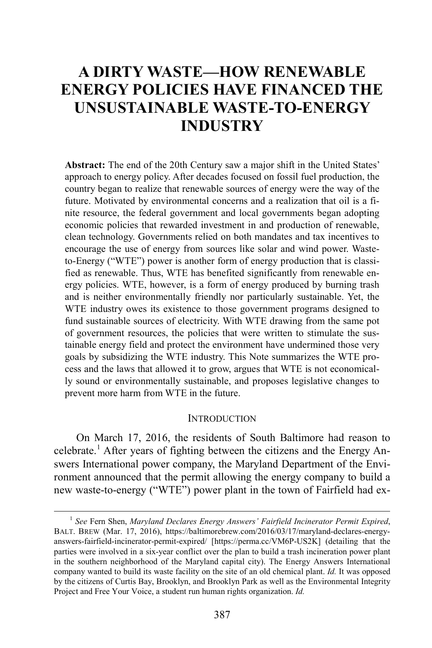# **A DIRTY WASTE—HOW RENEWABLE ENERGY POLICIES HAVE FINANCED THE UNSUSTAINABLE WASTE-TO-ENERGY INDUSTRY**

**Abstract:** The end of the 20th Century saw a major shift in the United States' approach to energy policy. After decades focused on fossil fuel production, the country began to realize that renewable sources of energy were the way of the future. Motivated by environmental concerns and a realization that oil is a finite resource, the federal government and local governments began adopting economic policies that rewarded investment in and production of renewable, clean technology. Governments relied on both mandates and tax incentives to encourage the use of energy from sources like solar and wind power. Wasteto-Energy ("WTE") power is another form of energy production that is classified as renewable. Thus, WTE has benefited significantly from renewable energy policies. WTE, however, is a form of energy produced by burning trash and is neither environmentally friendly nor particularly sustainable. Yet, the WTE industry owes its existence to those government programs designed to fund sustainable sources of electricity. With WTE drawing from the same pot of government resources, the policies that were written to stimulate the sustainable energy field and protect the environment have undermined those very goals by subsidizing the WTE industry. This Note summarizes the WTE process and the laws that allowed it to grow, argues that WTE is not economically sound or environmentally sustainable, and proposes legislative changes to prevent more harm from WTE in the future.

#### **INTRODUCTION**

<span id="page-1-1"></span>On March 17, 2016, the residents of South Baltimore had reason to celebrate.<sup>[1](#page-1-0)</sup> After years of fighting between the citizens and the Energy Answers International power company, the Maryland Department of the Environment announced that the permit allowing the energy company to build a new waste-to-energy ("WTE") power plant in the town of Fairfield had ex-

<span id="page-1-0"></span> <sup>1</sup> *See* Fern Shen, *Maryland Declares Energy Answers' Fairfield Incinerator Permit Expired*, BALT. BREW (Mar. 17, 2016), https://baltimorebrew.com/2016/03/17/maryland-declares-energyanswers-fairfield-incinerator-permit-expired/ [https://perma.cc/VM6P-US2K] (detailing that the parties were involved in a six-year conflict over the plan to build a trash incineration power plant in the southern neighborhood of the Maryland capital city). The Energy Answers International company wanted to build its waste facility on the site of an old chemical plant. *Id.* It was opposed by the citizens of Curtis Bay, Brooklyn, and Brooklyn Park as well as the Environmental Integrity Project and Free Your Voice, a student run human rights organization. *Id.*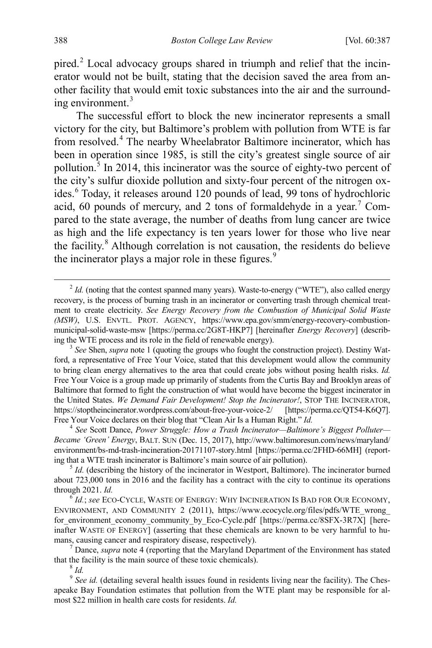<span id="page-2-10"></span>pired.<sup>[2](#page-2-1)</sup> Local advocacy groups shared in triumph and relief that the incinerator would not be built, stating that the decision saved the area from another facility that would emit toxic substances into the air and the surround-ing environment.<sup>[3](#page-2-2)</sup>

<span id="page-2-9"></span><span id="page-2-0"></span>The successful effort to block the new incinerator represents a small victory for the city, but Baltimore's problem with pollution from WTE is far from resolved.[4](#page-2-3) The nearby Wheelabrator Baltimore incinerator, which has been in operation since 1985, is still the city's greatest single source of air pollution. $\frac{3}{5}$  $\frac{3}{5}$  $\frac{3}{5}$  In 2014, this incinerator was the source of eighty-two percent of the city's sulfur dioxide pollution and sixty-four percent of the nitrogen ox-ides.<sup>[6](#page-2-5)</sup> Today, it releases around 120 pounds of lead, 99 tons of hydrochloric acid, 60 pounds of mercury, and 2 tons of formaldehyde in a year.<sup>[7](#page-2-6)</sup> Compared to the state average, the number of deaths from lung cancer are twice as high and the life expectancy is ten years lower for those who live near the facility.<sup>[8](#page-2-7)</sup> Although correlation is not causation, the residents do believe the incinerator plays a major role in these figures. $9$ 

<span id="page-2-3"></span>*Became 'Green' Energy*, BALT. SUN (Dec. 15, 2017), http://www.baltimoresun.com/news/maryland/ environment/bs-md-trash-incineration-20171107-story.html [https://perma.cc/2FHD-66MH] (reporting that a WTE trash incinerator is Baltimore's main source of air pollution). <sup>5</sup> *Id.* (describing the history of the incinerator in Westport, Baltimore). The incinerator burned

<span id="page-2-5"></span>ENVIRONMENT, AND COMMUNITY 2 (2011), https://www.ecocycle.org/files/pdfs/WTE\_wrong\_ for environment economy community by Eco-Cycle.pdf [https://perma.cc/8SFX-3R7X] [hereinafter WASTE OF ENERGY] (asserting that these chemicals are known to be very harmful to humans, causing cancer and respiratory disease, respectively). <sup>7</sup> Dance, *supra* not[e 4](#page-2-0) (reporting that the Maryland Department of the Environment has stated

<span id="page-2-6"></span>that the facility is the main source of these toxic chemicals). <sup>8</sup> *Id.*

<span id="page-2-8"></span><span id="page-2-7"></span><sup>9</sup> See id. (detailing several health issues found in residents living near the facility). The Chesapeake Bay Foundation estimates that pollution from the WTE plant may be responsible for almost \$22 million in health care costs for residents. *Id.*

<span id="page-2-1"></span> $2$  *Id.* (noting that the contest spanned many years). Waste-to-energy ("WTE"), also called energy recovery, is the process of burning trash in an incinerator or converting trash through chemical treatment to create electricity. *See Energy Recovery from the Combustion of Municipal Solid Waste (MSW)*, U.S. ENVTL. PROT. AGENCY, https://www.epa.gov/smm/energy-recovery-combustionmunicipal-solid-waste-msw [https://perma.cc/2G8T-HKP7] [hereinafter *Energy Recovery*] (describing the WTE process and its role in the field of renewable energy). <sup>3</sup> *See* Shen, *supra* note [1](#page-1-1) (quoting the groups who fought the construction project). Destiny Wat-

<span id="page-2-2"></span>ford, a representative of Free Your Voice, stated that this development would allow the community to bring clean energy alternatives to the area that could create jobs without posing health risks. *Id.*  Free Your Voice is a group made up primarily of students from the Curtis Bay and Brooklyn areas of Baltimore that formed to fight the construction of what would have become the biggest incinerator in the United States. *We Demand Fair Development! Stop the Incinerator!*, STOP THE INCINERATOR, https://stoptheincinerator.wordpress.com/about-free-your-voice-2/ [https://perma.cc/QT54-K6Q7]. Free Your Voice declares on their blog that "Clean Air Is a Human Right." *Id.* 4 *See* Scott Dance, *Power Struggle: How a Trash Incinerator—Baltimore's Biggest Polluter—* 

<span id="page-2-4"></span>about 723,000 tons in 2016 and the facility has a contract with the city to continue its operations through 2021. *Id.* 6 *Id.*; *see* ECO-CYCLE, WASTE OF ENERGY: WHY INCINERATION IS BAD FOR OUR ECONOMY,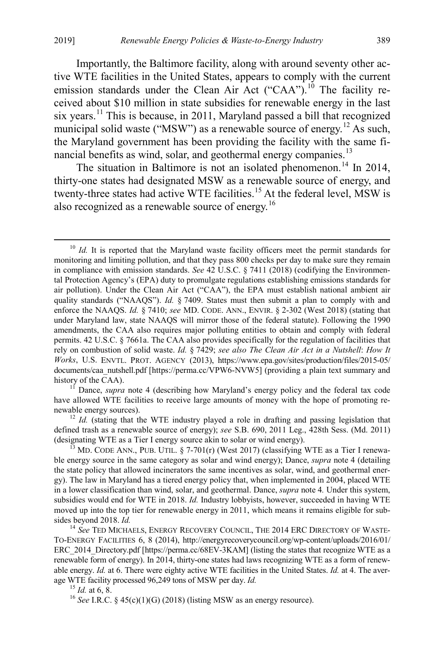Importantly, the Baltimore facility, along with around seventy other active WTE facilities in the United States, appears to comply with the current emission standards under the Clean Air Act ("CAA").<sup>[10](#page-3-0)</sup> The facility received about \$10 million in state subsidies for renewable energy in the last six years.<sup>[11](#page-3-1)</sup> This is because, in 2011, Maryland passed a bill that recognized municipal solid waste ("MSW") as a renewable source of energy.<sup>[12](#page-3-2)</sup> As such, the Maryland government has been providing the facility with the same fi-nancial benefits as wind, solar, and geothermal energy companies.<sup>[13](#page-3-3)</sup>

The situation in Baltimore is not an isolated phenomenon.<sup>[14](#page-3-4)</sup> In 2014, thirty-one states had designated MSW as a renewable source of energy, and twenty-three states had active WTE facilities.<sup>[15](#page-3-5)</sup> At the federal level, MSW is also recognized as a renewable source of energy.[16](#page-3-6)

<span id="page-3-1"></span>have allowed WTE facilities to receive large amounts of money with the hope of promoting renewable energy sources).<br><sup>12</sup> *Id.* (stating that the WTE industry played a role in drafting and passing legislation that

<span id="page-3-2"></span>defined trash as a renewable source of energy); *see* S.B. 690, 2011 Leg., 428th Sess. (Md. 2011) (designating WTE as a Tier I energy source akin to solar or wind energy).<br><sup>13</sup> MD. CODE ANN., PUB. UTIL. § 7-701(r) (West 2017) (classifying WTE as a Tier I renewa-

<span id="page-3-3"></span>ble energy source in the same category as solar and wind energy); Dance, *supra* note [4](#page-2-0) (detailing the state policy that allowed incinerators the same incentives as solar, wind, and geothermal energy). The law in Maryland has a tiered energy policy that, when implemented in 2004, placed WTE in a lower classification than wind, solar, and geothermal. Dance, *supra* note [4](#page-2-0)*.* Under this system, subsidies would end for WTE in 2018. *Id.* Industry lobbyists, however, succeeded in having WTE moved up into the top tier for renewable energy in 2011, which means it remains eligible for subsides beyond 2018. *Id.* 14 *See* TED MICHAELS, ENERGY RECOVERY COUNCIL, THE 2014 ERC DIRECTORY OF WASTE-

<span id="page-3-4"></span>TO-ENERGY FACILITIES 6, 8 (2014), http://energyrecoverycouncil.org/wp-content/uploads/2016/01/ ERC 2014 Directory.pdf [https://perma.cc/68EV-3KAM] (listing the states that recognize WTE as a renewable form of energy). In 2014, thirty-one states had laws recognizing WTE as a form of renewable energy. *Id.* at 6. There were eighty active WTE facilities in the United States. *Id.* at 4. The average WTE facility processed 96,249 tons of MSW per day. *Id.*<br><sup>15</sup> *Id.* at 6, 8.<br><sup>16</sup> *See* I.R.C. § 45(c)(1)(G) (2018) (listing MSW as an energy resource).

<span id="page-3-5"></span>

<span id="page-3-6"></span>

<span id="page-3-0"></span><sup>&</sup>lt;sup>10</sup> *Id.* It is reported that the Maryland waste facility officers meet the permit standards for monitoring and limiting pollution, and that they pass 800 checks per day to make sure they remain in compliance with emission standards. *See* 42 U.S.C. § 7411 (2018) (codifying the Environmental Protection Agency's (EPA) duty to promulgate regulations establishing emissions standards for air pollution). Under the Clean Air Act ("CAA"), the EPA must establish national ambient air quality standards ("NAAQS"). *Id.* § 7409. States must then submit a plan to comply with and enforce the NAAQS. *Id.* § 7410; *see* MD. CODE. ANN., ENVIR. § 2-302 (West 2018) (stating that under Maryland law, state NAAQS will mirror those of the federal statute). Following the 1990 amendments, the CAA also requires major polluting entities to obtain and comply with federal permits. 42 U.S.C. § 7661a. The CAA also provides specifically for the regulation of facilities that rely on combustion of solid waste. *Id.* § 7429; *see also The Clean Air Act in a Nutshell*: *How It Works*, U.S. ENVTL. PROT. AGENCY (2013), https://www.epa.gov/sites/production/files/2015-05/ documents/caa\_nutshell.pdf [https://perma.cc/VPW6-NVW5] (providing a plain text summary and history of the CAA).<br><sup>11</sup> Dance, *supra* note [4](#page-2-0) (describing how Maryland's energy policy and the federal tax code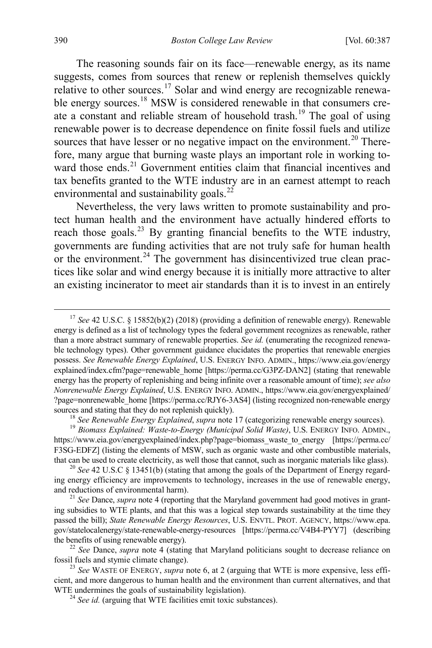<span id="page-4-0"></span>The reasoning sounds fair on its face—renewable energy, as its name suggests, comes from sources that renew or replenish themselves quickly relative to other sources.<sup>[17](#page-4-1)</sup> Solar and wind energy are recognizable renewa-ble energy sources.<sup>[18](#page-4-2)</sup> MSW is considered renewable in that consumers create a constant and reliable stream of household trash.[19](#page-4-3) The goal of using renewable power is to decrease dependence on finite fossil fuels and utilize sources that have lesser or no negative impact on the environment.<sup>[20](#page-4-4)</sup> Therefore, many argue that burning waste plays an important role in working to-ward those ends.<sup>[21](#page-4-5)</sup> Government entities claim that financial incentives and tax benefits granted to the WTE industry are in an earnest attempt to reach environmental and sustainability goals.<sup>[22](#page-4-6)</sup>

Nevertheless, the very laws written to promote sustainability and protect human health and the environment have actually hindered efforts to reach those goals.<sup>[23](#page-4-7)</sup> By granting financial benefits to the WTE industry, governments are funding activities that are not truly safe for human health or the environment. $^{24}$  $^{24}$  $^{24}$  The government has disincentivized true clean practices like solar and wind energy because it is initially more attractive to alter an existing incinerator to meet air standards than it is to invest in an entirely

<span id="page-4-1"></span><sup>&</sup>lt;sup>17</sup> *See* 42 U.S.C. § 15852(b)(2) (2018) (providing a definition of renewable energy). Renewable energy is defined as a list of technology types the federal government recognizes as renewable, rather than a more abstract summary of renewable properties. *See id.* (enumerating the recognized renewable technology types). Other government guidance elucidates the properties that renewable energies possess. *See Renewable Energy Explained*, U.S. ENERGY INFO. ADMIN., https://www.eia.gov/energy explained/index.cfm?page=renewable\_home [https://perma.cc/G3PZ-DAN2] (stating that renewable energy has the property of replenishing and being infinite over a reasonable amount of time); *see also Nonrenewable Energy Explained*, U.S. ENERGY INFO. ADMIN., https://www.eia.gov/energyexplained/ ?page=nonrenewable\_home [https://perma.cc/RJY6-3AS4] (listing recognized non-renewable energy sources and stating that they do not replenish quickly).<br><sup>18</sup> See Renewable Energy Explained, supra not[e 17](#page-4-0) (categorizing renewable energy sources).<br><sup>19</sup> Biomass Explained: Waste-to-Energy (Municipal Solid Waste), U.S. ENE

<span id="page-4-3"></span><span id="page-4-2"></span>https://www.eia.gov/energyexplained/index.php?page=biomass\_waste\_to\_energy [https://perma.cc/ F3SG-EDFZ] (listing the elements of MSW, such as organic waste and other combustible materials, that can be used to create electricity, as well those that cannot, such as inorganic materials like glass). <sup>20</sup> *See* 42 U.S.C § 13451(b) (stating that among the goals of the Department of Energy regard-

<span id="page-4-4"></span>ing energy efficiency are improvements to technology, increases in the use of renewable energy, and reductions of environmental harm). <sup>21</sup> *See* Dance, *supra* note [4](#page-2-0) (reporting that the Maryland government had good motives in grant-

<span id="page-4-5"></span>ing subsidies to WTE plants, and that this was a logical step towards sustainability at the time they passed the bill); *State Renewable Energy Resources*, U.S. ENVTL. PROT. AGENCY, https://www.epa. gov/statelocalenergy/state-renewable-energy-resources [https://perma.cc/V4B4-PYY7] (describing the benefits of using renewable energy). <sup>22</sup> *See* Dance, *supra* note [4](#page-2-0) (stating that Maryland politicians sought to decrease reliance on

<span id="page-4-6"></span>fossil fuels and stymie climate change). <sup>23</sup> *See* WASTE OF ENERGY, *supra* note [6,](#page-2-9) at 2 (arguing that WTE is more expensive, less effi-

<span id="page-4-8"></span><span id="page-4-7"></span>cient, and more dangerous to human health and the environment than current alternatives, and that WTE undermines the goals of sustainability legislation). <sup>24</sup> *See id.* (arguing that WTE facilities emit toxic substances).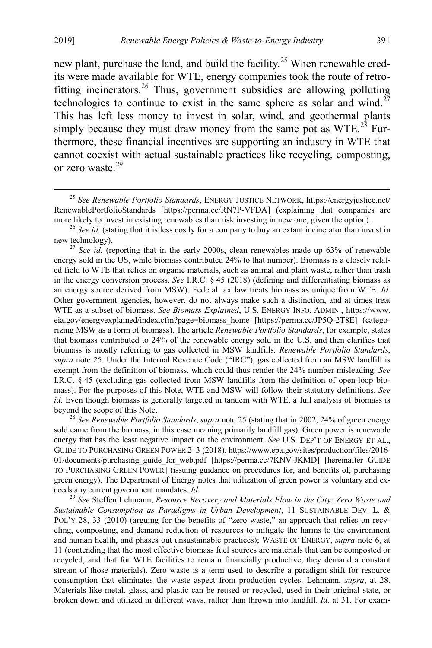<span id="page-5-6"></span><span id="page-5-0"></span>new plant, purchase the land, and build the facility.<sup>[25](#page-5-1)</sup> When renewable credits were made available for WTE, energy companies took the route of retrofitting incinerators.[26](#page-5-2) Thus, government subsidies are allowing polluting technologies to continue to exist in the same sphere as solar and wind.<sup> $27$ </sup> This has left less money to invest in solar, wind, and geothermal plants simply because they must draw money from the same pot as  $WTE<sup>28</sup>$  $WTE<sup>28</sup>$  $WTE<sup>28</sup>$  Furthermore, these financial incentives are supporting an industry in WTE that cannot coexist with actual sustainable practices like recycling, composting, or zero waste.[29](#page-5-5)

<span id="page-5-4"></span>sold came from the biomass, in this case meaning primarily landfill gas). Green power is renewable energy that has the least negative impact on the environment. *See* U.S. DEP'T OF ENERGY ET AL., GUIDE TO PURCHASING GREEN POWER 2–3 (2018), https://www.epa.gov/sites/production/files/2016- 01/documents/purchasing\_guide\_for\_web.pdf [https://perma.cc/7KNV-JKMD] [hereinafter GUIDE TO PURCHASING GREEN POWER] (issuing guidance on procedures for, and benefits of, purchasing green energy). The Department of Energy notes that utilization of green power is voluntary and exceeds any current government mandates. *Id.* <sup>29</sup> *See* Steffen Lehmann, *Resource Recovery and Materials Flow in the City: Zero Waste and* 

<span id="page-5-5"></span>*Sustainable Consumption as Paradigms in Urban Development*, 11 SUSTAINABLE DEV. L. & POL'Y 28, 33 (2010) (arguing for the benefits of "zero waste," an approach that relies on recycling, composting, and demand reduction of resources to mitigate the harms to the environment and human health, and phases out unsustainable practices); WASTE OF ENERGY, *supra* note [6,](#page-2-9) at 11 (contending that the most effective biomass fuel sources are materials that can be composted or recycled, and that for WTE facilities to remain financially productive, they demand a constant stream of those materials). Zero waste is a term used to describe a paradigm shift for resource consumption that eliminates the waste aspect from production cycles. Lehmann, *supra*, at 28. Materials like metal, glass, and plastic can be reused or recycled, used in their original state, or broken down and utilized in different ways, rather than thrown into landfill. *Id.* at 31. For exam-

<span id="page-5-1"></span> <sup>25</sup> *See Renewable Portfolio Standards*, ENERGY JUSTICE NETWORK, https://energyjustice.net/ RenewablePortfolioStandards [https://perma.cc/RN7P-VFDA] (explaining that companies are

<span id="page-5-2"></span>more likely to invest in existing renewables than risk investing in new one, given the option).<br><sup>26</sup> *See id.* (stating that it is less costly for a company to buy an extant incinerator than invest in new technology).

<span id="page-5-3"></span><sup>&</sup>lt;sup>27</sup> *See id.* (reporting that in the early 2000s, clean renewables made up 63% of renewable energy sold in the US, while biomass contributed 24% to that number). Biomass is a closely related field to WTE that relies on organic materials, such as animal and plant waste, rather than trash in the energy conversion process. *See* I.R.C. § 45 (2018) (defining and differentiating biomass as an energy source derived from MSW). Federal tax law treats biomass as unique from WTE. *Id.* Other government agencies, however, do not always make such a distinction, and at times treat WTE as a subset of biomass. *See Biomass Explained*, U.S. ENERGY INFO. ADMIN., https://www. eia.gov/energyexplained/index.cfm?page=biomass\_home [https://perma.cc/JP5Q-2T8E] (categorizing MSW as a form of biomass). The article *Renewable Portfolio Standards*, for example, states that biomass contributed to 24% of the renewable energy sold in the U.S. and then clarifies that biomass is mostly referring to gas collected in MSW landfills. *Renewable Portfolio Standards*, *supra* note [25.](#page-5-0) Under the Internal Revenue Code ("IRC"), gas collected from an MSW landfill is exempt from the definition of biomass, which could thus render the 24% number misleading. *See* I.R.C. § 45 (excluding gas collected from MSW landfills from the definition of open-loop biomass). For the purposes of this Note, WTE and MSW will follow their statutory definitions. *See id.* Even though biomass is generally targeted in tandem with WTE, a full analysis of biomass is beyond the scope of this Note. <sup>28</sup> *See Renewable Portfolio Standards*, *supra* note [25](#page-5-0) (stating that in 2002, 24% of green energy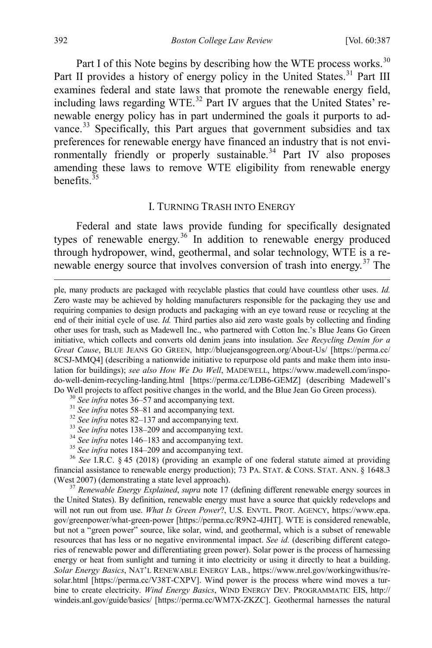Part I of this Note begins by describing how the WTE process works.<sup>[30](#page-6-1)</sup> Part II provides a history of energy policy in the United States.<sup>[31](#page-6-2)</sup> Part III examines federal and state laws that promote the renewable energy field, including laws regarding WTE.<sup>[32](#page-6-3)</sup> Part IV argues that the United States' renewable energy policy has in part undermined the goals it purports to ad-vance.<sup>[33](#page-6-4)</sup> Specifically, this Part argues that government subsidies and tax preferences for renewable energy have financed an industry that is not envi-ronmentally friendly or properly sustainable.<sup>[34](#page-6-5)</sup> Part IV also proposes amending these laws to remove WTE eligibility from renewable energy benefits  $\frac{35}{35}$  $\frac{35}{35}$  $\frac{35}{35}$ 

#### <span id="page-6-0"></span>I. TURNING TRASH INTO ENERGY

Federal and state laws provide funding for specifically designated types of renewable energy.<sup>[36](#page-6-7)</sup> In addition to renewable energy produced through hydropower, wind, geothermal, and solar technology, WTE is a re-newable energy source that involves conversion of trash into energy.<sup>[37](#page-6-8)</sup> The

- 
- 
- 
- 
- 
- 

<span id="page-6-6"></span><span id="page-6-5"></span><span id="page-6-4"></span><span id="page-6-3"></span><span id="page-6-2"></span><span id="page-6-1"></span><sup>31</sup> See infra note[s 58–](#page-9-0)[81](#page-12-0) and accompanying text.<br><sup>32</sup> See infra note[s 82–](#page-12-1)[137](#page-17-0) and accompanying text.<br><sup>33</sup> See infra note[s 138](#page-18-0)[–209](#page-25-0) and accompanying text.<br><sup>34</sup> See infra note[s 146](#page-19-0)[–183](#page-23-0) and accompanying text.<br><sup>35</sup> See infra n financial assistance to renewable energy production); 73 PA. STAT. & CONS. STAT. ANN. § 1648.3 (West 2007) (demonstrating a state level approach). <sup>37</sup> *Renewable Energy Explained*, *supra* note [17](#page-4-0) (defining different renewable energy sources in

<span id="page-6-8"></span><span id="page-6-7"></span>the United States). By definition, renewable energy must have a source that quickly redevelops and will not run out from use. *What Is Green Power*?, U.S. ENVTL. PROT. AGENCY, https://www.epa. gov/greenpower/what-green-power [https://perma.cc/R9N2-4JHT]. WTE is considered renewable, but not a "green power" source, like solar, wind, and geothermal, which is a subset of renewable resources that has less or no negative environmental impact. *See id.* (describing different categories of renewable power and differentiating green power). Solar power is the process of harnessing energy or heat from sunlight and turning it into electricity or using it directly to heat a building. *Solar Energy Basics*, NAT'L RENEWABLE ENERGY LAB., https://www.nrel.gov/workingwithus/resolar.html [https://perma.cc/V38T-CXPV]. Wind power is the process where wind moves a turbine to create electricity. *Wind Energy Basics*, WIND ENERGY DEV. PROGRAMMATIC EIS, http:// windeis.anl.gov/guide/basics/ [https://perma.cc/WM7X-ZKZC]. Geothermal harnesses the natural

ple, many products are packaged with recyclable plastics that could have countless other uses. *Id.* Zero waste may be achieved by holding manufacturers responsible for the packaging they use and requiring companies to design products and packaging with an eye toward reuse or recycling at the end of their initial cycle of use. *Id.* Third parties also aid zero waste goals by collecting and finding other uses for trash, such as Madewell Inc., who partnered with Cotton Inc.'s Blue Jeans Go Green initiative, which collects and converts old denim jeans into insulation. *See Recycling Denim for a Great Cause*, BLUE JEANS GO GREEN, http://bluejeansgogreen.org/About-Us/ [https://perma.cc/ 8CSJ-MMQ4] (describing a nationwide initiative to repurpose old pants and make them into insulation for buildings); *see also How We Do Well*, MADEWELL, https://www.madewell.com/inspodo-well-denim-recycling-landing.html [https://perma.cc/LDB6-GEMZ] (describing Madewell's Do Well projects to affect positive changes in the world, and the Blue Jean Go Green process).<br><sup>30</sup> See infra notes 36–57 and accompanying text.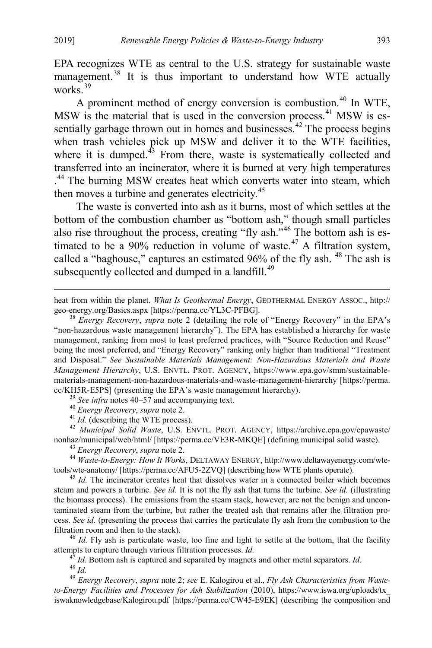EPA recognizes WTE as central to the U.S. strategy for sustainable waste management.<sup>[38](#page-7-1)</sup> It is thus important to understand how WTE actually works $\overline{39}$  $\overline{39}$  $\overline{39}$ 

<span id="page-7-0"></span>A prominent method of energy conversion is combustion.<sup>[40](#page-7-3)</sup> In WTE, MSW is the material that is used in the conversion process.<sup>[41](#page-7-4)</sup> MSW is es-sentially garbage thrown out in homes and businesses.<sup>[42](#page-7-5)</sup> The process begins when trash vehicles pick up MSW and deliver it to the WTE facilities, where it is dumped. $43$  From there, waste is systematically collected and transferred into an incinerator, where it is burned at very high temperatures . [44](#page-7-7) The burning MSW creates heat which converts water into steam, which then moves a turbine and generates electricity.<sup>[45](#page-7-8)</sup>

<span id="page-7-13"></span>The waste is converted into ash as it burns, most of which settles at the bottom of the combustion chamber as "bottom ash," though small particles also rise throughout the process, creating "fly ash."[46](#page-7-9) The bottom ash is es-timated to be a 90% reduction in volume of waste.<sup>[47](#page-7-10)</sup> A filtration system, called a "baghouse," captures an estimated 96% of the fly ash. <sup>[48](#page-7-11)</sup> The ash is subsequently collected and dumped in a landfill. $49$ 

<span id="page-7-1"></span>"non-hazardous waste management hierarchy"). The EPA has established a hierarchy for waste management, ranking from most to least preferred practices, with "Source Reduction and Reuse" being the most preferred, and "Energy Recovery" ranking only higher than traditional "Treatment and Disposal." *See Sustainable Materials Management: Non-Hazardous Materials and Waste Management Hierarchy*, U.S. ENVTL. PROT. AGENCY, https://www.epa.gov/smm/sustainablematerials-management-non-hazardous-materials-and-waste-management-hierarchy [https://perma. cc/KH5R-E5PS] (presenting the EPA's waste management hierarchy).<br><sup>39</sup> See infra note[s 40–](#page-7-0)[57](#page-8-0) and accompanying text.<br><sup>40</sup> Energy Recovery, supra note 2.<br><sup>41</sup> Id. (describing the WTE process).<br><sup>42</sup> Municipal Solid Waste, U.S.

<span id="page-7-5"></span><span id="page-7-4"></span><span id="page-7-3"></span><span id="page-7-2"></span>nonhaz/municipal/web/html/ [https://perma.cc/VE3R-MKQE] (defining municipal solid waste).<br><sup>43</sup> *Energy Recovery, supra* note 2.<br><sup>44</sup> *Waste-to-Energy: How It Works*, DELTAWAY ENERGY, http://www.deltawayenergy.com/wte-

<span id="page-7-7"></span><span id="page-7-6"></span>tools/wte-anatomy/ [https://perma.cc/AFU5-2ZVQ] (describing how WTE plants operate). <sup>45</sup> *Id.* The incinerator creates heat that dissolves water in a connected boiler which becomes

<span id="page-7-8"></span>steam and powers a turbine. *See id.* It is not the fly ash that turns the turbine. *See id.* (illustrating the biomass process). The emissions from the steam stack, however, are not the benign and uncontaminated steam from the turbine, but rather the treated ash that remains after the filtration process. *See id.* (presenting the process that carries the particulate fly ash from the combustion to the filtration room and then to the stack).<br><sup>46</sup> *Id.* Fly ash is particulate waste, too fine and light to settle at the bottom, that the facility

<span id="page-7-9"></span>

<span id="page-7-10"></span>attempts to capture through various filtration processes. *Id.*<br><sup>47</sup> *Id.* Bottom ash is captured and separated by magnets and other metal separators. *Id.*<br><sup>48</sup> *Id.*<br><sup>49</sup> *Energy Recovery, supra* note [2;](#page-2-10) *see* E. Kalogir

<span id="page-7-12"></span><span id="page-7-11"></span>*to-Energy Facilities and Processes for Ash Stabilization* (2010), https://www.iswa.org/uploads/tx\_ iswaknowledgebase/Kalogirou.pdf [https://perma.cc/CW45-E9EK] (describing the composition and

heat from within the planet. *What Is Geothermal Energy*, GEOTHERMAL ENERGY ASSOC., http:// geo-energy.org/Basics.aspx [https://perma.cc/YL3C-PFBG]. <sup>38</sup> *Energy Recovery*, *supra* note [2](#page-2-10) (detailing the role of "Energy Recovery" in the EPA's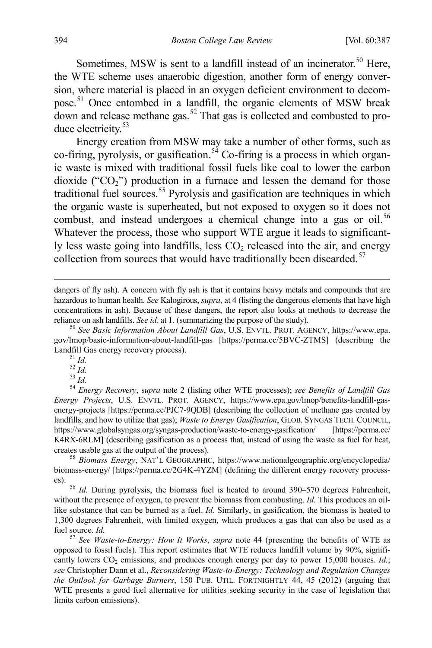Sometimes, MSW is sent to a landfill instead of an incinerator.<sup>[50](#page-8-1)</sup> Here, the WTE scheme uses anaerobic digestion, another form of energy conversion, where material is placed in an oxygen deficient environment to decom-pose.<sup>[51](#page-8-2)</sup> Once entombed in a landfill, the organic elements of MSW break  $\frac{1}{4}$  down and release methane gas.<sup>[52](#page-8-3)</sup> That gas is collected and combusted to pro-duce electricity.<sup>[53](#page-8-4)</sup>

Energy creation from MSW may take a number of other forms, such as co-firing, pyrolysis, or gasification.<sup>[54](#page-8-5)</sup> Co-firing is a process in which organic waste is mixed with traditional fossil fuels like coal to lower the carbon dioxide (" $CO<sub>2</sub>$ ") production in a furnace and lessen the demand for those traditional fuel sources.<sup>[55](#page-8-6)</sup> Pyrolysis and gasification are techniques in which the organic waste is superheated, but not exposed to oxygen so it does not combust, and instead undergoes a chemical change into a gas or oil.<sup>[56](#page-8-7)</sup> Whatever the process, those who support WTE argue it leads to significantly less waste going into landfills, less  $CO<sub>2</sub>$  released into the air, and energy collection from sources that would have traditionally been discarded. $57$ 

<span id="page-8-0"></span>

<span id="page-8-6"></span>biomass-energy/ [https://perma.cc/2G4K-4YZM] (defining the different energy recovery process-

<span id="page-8-7"></span>es). <sup>56</sup> *Id.* During pyrolysis, the biomass fuel is heated to around 390–570 degrees Fahrenheit, without the presence of oxygen, to prevent the biomass from combusting. *Id.* This produces an oillike substance that can be burned as a fuel. *Id.* Similarly, in gasification, the biomass is heated to 1,300 degrees Fahrenheit, with limited oxygen, which produces a gas that can also be used as a fuel source. *Id.* <sup>57</sup> *See Waste-to-Energy: How It Works*, *supra* note [44](#page-7-13) (presenting the benefits of WTE as

<span id="page-8-8"></span>opposed to fossil fuels). This report estimates that WTE reduces landfill volume by 90%, significantly lowers CO<sub>2</sub> emissions, and produces enough energy per day to power 15,000 houses. *Id.*; *see* Christopher Dann et al., *Reconsidering Waste-to-Energy: Technology and Regulation Changes the Outlook for Garbage Burners*, 150 PUB. UTIL. FORTNIGHTLY 44, 45 (2012) (arguing that WTE presents a good fuel alternative for utilities seeking security in the case of legislation that limits carbon emissions).

dangers of fly ash). A concern with fly ash is that it contains heavy metals and compounds that are hazardous to human health. *See* Kalogirous, *supra*, at 4 (listing the dangerous elements that have high concentrations in ash). Because of these dangers, the report also looks at methods to decrease the reliance on ash landfills. *See id.* at 1. (summarizing the purpose of the study). <sup>50</sup> *See Basic Information About Landfill Gas*, U.S. ENVTL. PROT. AGENCY, https://www.epa.

<span id="page-8-2"></span><span id="page-8-1"></span>gov/lmop/basic-information-about-landfill-gas [https://perma.cc/5BVC-ZTMS] (describing the Landfill Gas energy recovery process).<br><sup>51</sup> *Id.*<br><sup>52</sup> *Id.* <sup>53</sup> *Id.* 54 *Energy Recovery*, *supra* note [2](#page-2-10) (listing other WTE processes); *see Benefits of Landfill Gas* 

<span id="page-8-5"></span><span id="page-8-4"></span><span id="page-8-3"></span>*Energy Projects*, U.S. ENVTL. PROT. AGENCY, https://www.epa.gov/lmop/benefits-landfill-gasenergy-projects [https://perma.cc/PJC7-9QDB] (describing the collection of methane gas created by landfills, and how to utilize that gas); *Waste to Energy Gasification*, GLOB. SYNGAS TECH. COUNCIL, https://www.globalsyngas.org/syngas-production/waste-to-energy-gasification/ [https://perma.cc/ K4RX-6RLM] (describing gasification as a process that, instead of using the waste as fuel for heat, creates usable gas at the output of the process). <sup>55</sup> *Biomass Energy*, NAT'L GEOGRAPHIC, https://www.nationalgeographic.org/encyclopedia/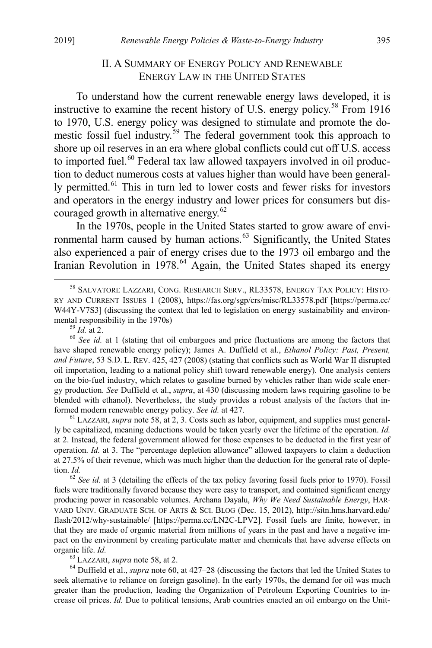## <span id="page-9-0"></span>II. A SUMMARY OF ENERGY POLICY AND RENEWABLE ENERGY LAW IN THE UNITED STATES

<span id="page-9-1"></span>To understand how the current renewable energy laws developed, it is instructive to examine the recent history of U.S. energy policy.<sup>[58](#page-9-2)</sup> From 1916 to 1970, U.S. energy policy was designed to stimulate and promote the do-mestic fossil fuel industry.<sup>[59](#page-9-3)</sup> The federal government took this approach to shore up oil reserves in an era where global conflicts could cut off U.S. access to imported fuel.<sup>[60](#page-9-4)</sup> Federal tax law allowed taxpayers involved in oil production to deduct numerous costs at values higher than would have been general-ly permitted.<sup>[61](#page-9-5)</sup> This in turn led to lower costs and fewer risks for investors and operators in the energy industry and lower prices for consumers but dis-couraged growth in alternative energy.<sup>[62](#page-9-6)</sup>

In the 1970s, people in the United States started to grow aware of envi-ronmental harm caused by human actions.<sup>[63](#page-9-7)</sup> Significantly, the United States also experienced a pair of energy crises due to the 1973 oil embargo and the Iranian Revolution in 1978.<sup>[64](#page-9-8)</sup> Again, the United States shaped its energy

<span id="page-9-4"></span><span id="page-9-3"></span>have shaped renewable energy policy); James A. Duffield et al., *Ethanol Policy: Past, Present, and Future*, 53 S.D. L. REV. 425, 427 (2008) (stating that conflicts such as World War II disrupted oil importation, leading to a national policy shift toward renewable energy). One analysis centers on the bio-fuel industry, which relates to gasoline burned by vehicles rather than wide scale energy production. *See* Duffield et al., *supra*, at 430 (discussing modern laws requiring gasoline to be blended with ethanol). Nevertheless, the study provides a robust analysis of the factors that informed modern renewable energy policy. *See id.* at 427.<br><sup>61</sup> LAZZARI, *supra* not[e 58,](#page-9-0) at 2, 3. Costs such as labor, equipment, and supplies must general-

<span id="page-9-5"></span>ly be capitalized, meaning deductions would be taken yearly over the lifetime of the operation. *Id.*  at 2. Instead, the federal government allowed for those expenses to be deducted in the first year of operation. *Id.* at 3. The "percentage depletion allowance" allowed taxpayers to claim a deduction at 27.5% of their revenue, which was much higher than the deduction for the general rate of depletion. *Id.* 

<span id="page-9-6"></span><sup>62</sup> *See id.* at 3 (detailing the effects of the tax policy favoring fossil fuels prior to 1970). Fossil fuels were traditionally favored because they were easy to transport, and contained significant energy producing power in reasonable volumes. Archana Dayalu, *Why We Need Sustainable Energy*, HAR-VARD UNIV. GRADUATE SCH. OF ARTS & SCI. BLOG (Dec. 15, 2012), http://sitn.hms.harvard.edu/ flash/2012/why-sustainable/ [https://perma.cc/LN2C-LPV2]. Fossil fuels are finite, however, in that they are made of organic material from millions of years in the past and have a negative impact on the environment by creating particulate matter and chemicals that have adverse effects on organic life. *Id.* 63 LAZZARI, *supra* not[e 58,](#page-9-0) at 2. 64 Outfield et al., *supra* note [60,](#page-9-1) at 427–28 (discussing the factors that led the United States to 64 Duffield et al., *supra* note 60, at 427–28 (discussing the fac

<span id="page-9-8"></span><span id="page-9-7"></span>seek alternative to reliance on foreign gasoline). In the early 1970s, the demand for oil was much greater than the production, leading the Organization of Petroleum Exporting Countries to increase oil prices. *Id.* Due to political tensions, Arab countries enacted an oil embargo on the Unit-

<span id="page-9-2"></span> <sup>58</sup> SALVATORE LAZZARI, CONG. RESEARCH SERV., RL33578, ENERGY TAX POLICY: HISTO-RY AND CURRENT ISSUES 1 (2008), https://fas.org/sgp/crs/misc/RL33578.pdf [https://perma.cc/ W44Y-V7S3] (discussing the context that led to legislation on energy sustainability and environmental responsibility in the 1970s)<br><sup>59</sup> *Id.* at 2.<br><sup>60</sup> *See id.* at 1 (stating that oil embargoes and price fluctuations are among the factors that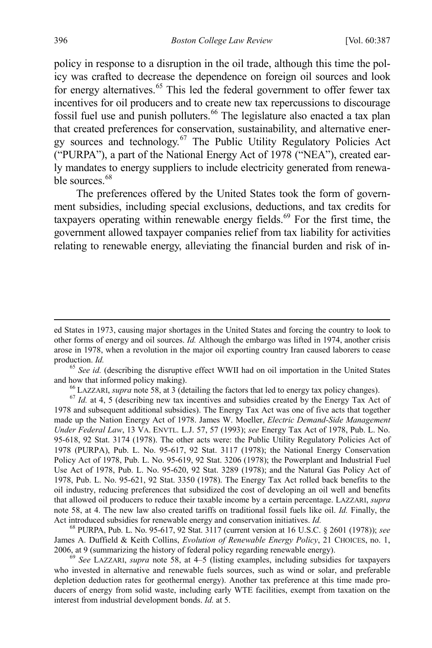policy in response to a disruption in the oil trade, although this time the policy was crafted to decrease the dependence on foreign oil sources and look for energy alternatives.<sup>[65](#page-10-0)</sup> This led the federal government to offer fewer tax incentives for oil producers and to create new tax repercussions to discourage fossil fuel use and punish polluters.<sup>[66](#page-10-1)</sup> The legislature also enacted a tax plan that created preferences for conservation, sustainability, and alternative energy sources and technology.[67](#page-10-2) The Public Utility Regulatory Policies Act ("PURPA"), a part of the National Energy Act of 1978 ("NEA"), created early mandates to energy suppliers to include electricity generated from renewa-ble sources.<sup>[68](#page-10-3)</sup>

<span id="page-10-6"></span><span id="page-10-5"></span>The preferences offered by the United States took the form of government subsidies, including special exclusions, deductions, and tax credits for taxpayers operating within renewable energy fields.<sup>[69](#page-10-4)</sup> For the first time, the government allowed taxpayer companies relief from tax liability for activities relating to renewable energy, alleviating the financial burden and risk of in-

<span id="page-10-2"></span><span id="page-10-1"></span>1978 and subsequent additional subsidies). The Energy Tax Act was one of five acts that together made up the Nation Energy Act of 1978. James W. Moeller, *Electric Demand-Side Management Under Federal Law*, 13 VA. ENVTL. L.J. 57, 57 (1993); *see* Energy Tax Act of 1978, Pub. L. No. 95-618, 92 Stat. 3174 (1978). The other acts were: the Public Utility Regulatory Policies Act of 1978 (PURPA), Pub. L. No. 95-617, 92 Stat. 3117 (1978); the National Energy Conservation Policy Act of 1978, Pub. L. No. 95-619, 92 Stat. 3206 (1978); the Powerplant and Industrial Fuel Use Act of 1978, Pub. L. No. 95-620, 92 Stat. 3289 (1978); and the Natural Gas Policy Act of 1978, Pub. L. No. 95-621, 92 Stat. 3350 (1978). The Energy Tax Act rolled back benefits to the oil industry, reducing preferences that subsidized the cost of developing an oil well and benefits that allowed oil producers to reduce their taxable income by a certain percentage. LAZZARI, *supra*  note [58,](#page-9-0) at 4. The new law also created tariffs on traditional fossil fuels like oil. *Id.* Finally, the Act introduced subsidies for renewable energy and conservation initiatives. *Id.* <sup>68</sup> PURPA, Pub. L. No. 95-617, 92 Stat. 3117 (current version at 16 U.S.C. § 2601 (1978)); *see* 

<span id="page-10-3"></span>James A. Duffield & Keith Collins, *Evolution of Renewable Energy Policy*, 21 CHOICES, no. 1, 2006, at 9 (summarizing the history of federal policy regarding renewable energy). <sup>69</sup> *See* LAZZARI, *supra* note [58,](#page-9-0) at 4–5 (listing examples, including subsidies for taxpayers

<span id="page-10-4"></span>who invested in alternative and renewable fuels sources, such as wind or solar, and preferable depletion deduction rates for geothermal energy). Another tax preference at this time made producers of energy from solid waste, including early WTE facilities, exempt from taxation on the interest from industrial development bonds. *Id.* at 5.

ed States in 1973, causing major shortages in the United States and forcing the country to look to other forms of energy and oil sources. *Id.* Although the embargo was lifted in 1974, another crisis arose in 1978, when a revolution in the major oil exporting country Iran caused laborers to cease production. *Id.* <sup>65</sup> *See id.* (describing the disruptive effect WWII had on oil importation in the United States

<span id="page-10-0"></span>and how that informed policy making).<br>
<sup>66</sup> LAZZARI, *supra* not[e 58,](#page-9-0) at 3 (detailing the factors that led to energy tax policy changes).<br>
<sup>67</sup> *Id.* at 4, 5 (describing new tax incentives and subsidies created by the Ene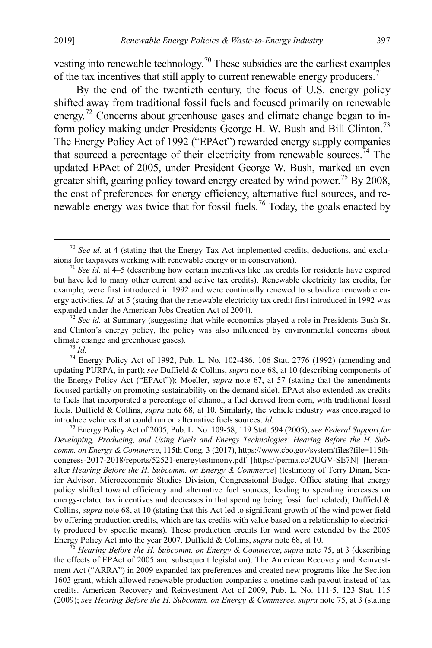vesting into renewable technology.<sup>[70](#page-11-1)</sup> These subsidies are the earliest examples of the tax incentives that still apply to current renewable energy producers.<sup>[71](#page-11-2)</sup>

By the end of the twentieth century, the focus of U.S. energy policy shifted away from traditional fossil fuels and focused primarily on renewable energy.<sup>[72](#page-11-3)</sup> Concerns about greenhouse gases and climate change began to in-form policy making under Presidents George H. W. Bush and Bill Clinton.<sup>[73](#page-11-4)</sup> The Energy Policy Act of 1992 ("EPAct") rewarded energy supply companies that sourced a percentage of their electricity from renewable sources.<sup>[74](#page-11-5)</sup> The updated EPAct of 2005, under President George W. Bush, marked an even greater shift, gearing policy toward energy created by wind power.<sup>[75](#page-11-6)</sup> By 2008, the cost of preferences for energy efficiency, alternative fuel sources, and re-newable energy was twice that for fossil fuels.<sup>[76](#page-11-7)</sup> Today, the goals enacted by

<span id="page-11-5"></span><span id="page-11-4"></span> $\frac{73}{14}$  *Id.*  $\frac{6}{14}$  Energy Policy Act of 1992, Pub. L. No. 102-486, 106 Stat. 2776 (1992) (amending and updating PURPA, in part); *see* Duffield & Collins, *supra* not[e 68,](#page-10-5) at 10 (describing components of the Energy Policy Act ("EPAct")); Moeller, *supra* note [67,](#page-10-6) at 57 (stating that the amendments focused partially on promoting sustainability on the demand side). EPAct also extended tax credits to fuels that incorporated a percentage of ethanol, a fuel derived from corn, with traditional fossil fuels. Duffield & Collins, *supra* note [68,](#page-10-5) at 10*.* Similarly, the vehicle industry was encouraged to introduce vehicles that could run on alternative fuels sources. *Id.* <sup>75</sup> Energy Policy Act of 2005, Pub. L. No. 109-58, 119 Stat. 594 (2005); *see Federal Support for* 

<span id="page-11-6"></span>*Developing, Producing, and Using Fuels and Energy Technologies: Hearing Before the H. Subcomm. on Energy & Commerce*, 115th Cong. 3 (2017), https://www.cbo.gov/system/files?file=115thcongress-2017-2018/reports/52521-energytestimony.pdf [https://perma.cc/2UGV-SE7N] [hereinafter *Hearing Before the H. Subcomm. on Energy & Commerce*] (testimony of Terry Dinan, Senior Advisor, Microeconomic Studies Division, Congressional Budget Office stating that energy policy shifted toward efficiency and alternative fuel sources, leading to spending increases on energy-related tax incentives and decreases in that spending being fossil fuel related); Duffield & Collins, *supra* not[e 68,](#page-10-5) at 10 (stating that this Act led to significant growth of the wind power field by offering production credits, which are tax credits with value based on a relationship to electricity produced by specific means). These production credits for wind were extended by the 2005 Energy Policy Act into the year 2007. Duffield & Collins, *supra* not[e 68,](#page-10-5) at 10. 76 *Hearing Before the H. Subcomm. on Energy & Commerce*, *supra* note [75,](#page-11-0) at 3 (describing

<span id="page-11-7"></span>the effects of EPAct of 2005 and subsequent legislation). The American Recovery and Reinvestment Act ("ARRA") in 2009 expanded tax preferences and created new programs like the Section 1603 grant, which allowed renewable production companies a onetime cash payout instead of tax credits. American Recovery and Reinvestment Act of 2009, Pub. L. No. 111-5, 123 Stat. 115 (2009); *see Hearing Before the H. Subcomm. on Energy & Commerce*, *supra* note [75,](#page-11-0) at 3 (stating

<span id="page-11-1"></span><span id="page-11-0"></span><sup>&</sup>lt;sup>70</sup> *See id.* at 4 (stating that the Energy Tax Act implemented credits, deductions, and exclusions for taxpayers working with renewable energy or in conservation).

<span id="page-11-2"></span> $1$ <sup>1</sup> *See id.* at 4–5 (describing how certain incentives like tax credits for residents have expired but have led to many other current and active tax credits). Renewable electricity tax credits, for example, were first introduced in 1992 and were continually renewed to subsidize renewable energy activities. *Id.* at 5 (stating that the renewable electricity tax credit first introduced in 1992 was expanded under the American Jobs Creation Act of 2004).

<span id="page-11-3"></span><sup>&</sup>lt;sup>72</sup> *See id.* at Summary (suggesting that while economics played a role in Presidents Bush Sr. and Clinton's energy policy, the policy was also influenced by environmental concerns about climate change and greenhouse gases).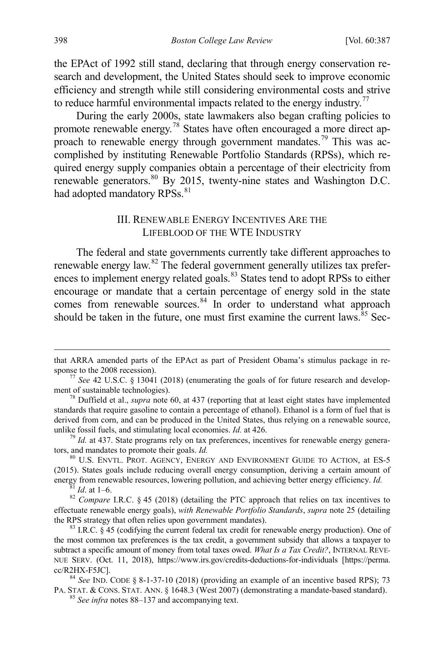the EPAct of 1992 still stand, declaring that through energy conservation research and development, the United States should seek to improve economic efficiency and strength while still considering environmental costs and strive to reduce harmful environmental impacts related to the energy industry.<sup>[77](#page-12-2)</sup>

During the early 2000s, state lawmakers also began crafting policies to promote renewable energy.[78](#page-12-3) States have often encouraged a more direct ap-proach to renewable energy through government mandates.<sup>[79](#page-12-4)</sup> This was accomplished by instituting Renewable Portfolio Standards (RPSs), which required energy supply companies obtain a percentage of their electricity from renewable generators.<sup>[80](#page-12-5)</sup> By 2015, twenty-nine states and Washington D.C. had adopted mandatory RPSs.<sup>[81](#page-12-6)</sup>

#### <span id="page-12-1"></span><span id="page-12-0"></span>III. RENEWABLE ENERGY INCENTIVES ARE THE LIFEBLOOD OF THE WTE INDUSTRY

The federal and state governments currently take different approaches to renewable energy law.<sup>[82](#page-12-7)</sup> The federal government generally utilizes tax prefer-ences to implement energy related goals.<sup>[83](#page-12-8)</sup> States tend to adopt RPSs to either encourage or mandate that a certain percentage of energy sold in the state comes from renewable sources.<sup>[84](#page-12-9)</sup> In order to understand what approach should be taken in the future, one must first examine the current laws.  $85$  Sec-

<span id="page-12-4"></span>unlike fossil fuels, and stimulating local economies. *Id.* at 426. <sup>79</sup> *Id.* at 437. State programs rely on tax preferences, incentives for renewable energy generators, and mandates to promote their goals. *Id.* 

<span id="page-12-5"></span><sup>80</sup> U.S. ENVTL. PROT. AGENCY, ENERGY AND ENVIRONMENT GUIDE TO ACTION, at ES-5 (2015). States goals include reducing overall energy consumption, deriving a certain amount of energy from renewable resources, lowering pollution, and achieving better energy efficiency. *Id.* <sup>81</sup> *Id.* at 1–6. 82 *Compare LR.C.* § 45 (2018) (detailing the PTC approach that relies on tax incentives to

<span id="page-12-7"></span><span id="page-12-6"></span>effectuate renewable energy goals), *with Renewable Portfolio Standards*, *supra* not[e 25](#page-5-0) (detailing the RPS strategy that often relies upon government mandates).<br><sup>83</sup> I.R.C. § 45 (codifying the current federal tax credit for renewable energy production). One of

<span id="page-12-8"></span>the most common tax preferences is the tax credit, a government subsidy that allows a taxpayer to subtract a specific amount of money from total taxes owed. *What Is a Tax Credit?*, INTERNAL REVE-NUE SERV. (Oct. 11, 2018), https://www.irs.gov/credits-deductions-for-individuals [https://perma. cc/R2HX-F5JC]. <sup>84</sup> *See* IND. CODE § 8-1-37-10 (2018) (providing an example of an incentive based RPS); 73

<span id="page-12-10"></span><span id="page-12-9"></span>PA. STAT. & CONS. STAT. ANN. § 1648.3 (West 2007) (demonstrating a mandate-based standard). <sup>85</sup> *See infra* note[s 88–](#page-13-0)[137](#page-17-0) and accompanying text.

that ARRA amended parts of the EPAct as part of President Obama's stimulus package in re-

<span id="page-12-2"></span>sponse to the 2008 recession).<br><sup>77</sup> *See* 42 U.S.C. § 13041 (2018) (enumerating the goals of for future research and develop-<br>ment of sustainable technologies).

<span id="page-12-3"></span> $^{78}$  Duffield et al., *supra* note [60,](#page-9-1) at 437 (reporting that at least eight states have implemented standards that require gasoline to contain a percentage of ethanol). Ethanol is a form of fuel that is derived from corn, and can be produced in the United States, thus relying on a renewable source,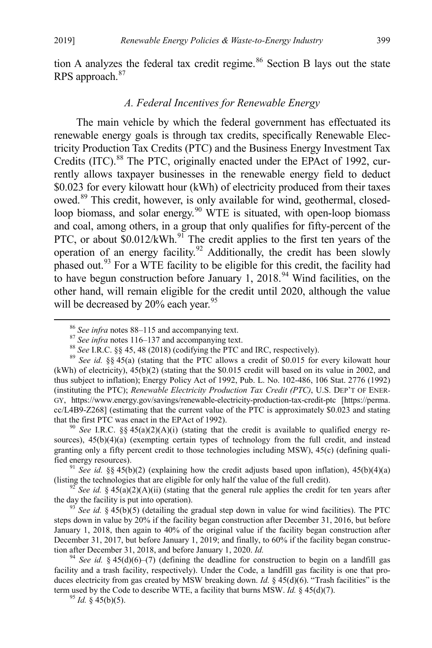tion A analyzes the federal tax credit regime.<sup>[86](#page-13-1)</sup> Section B lays out the state RPS approach.<sup>[87](#page-13-2)</sup>

### <span id="page-13-0"></span>*A. Federal Incentives for Renewable Energy*

The main vehicle by which the federal government has effectuated its renewable energy goals is through tax credits, specifically Renewable Electricity Production Tax Credits (PTC) and the Business Energy Investment Tax Credits (ITC).<sup>[88](#page-13-3)</sup> The PTC, originally enacted under the EPAct of 1992, currently allows taxpayer businesses in the renewable energy field to deduct \$0.023 for every kilowatt hour (kWh) of electricity produced from their taxes owed.[89](#page-13-4) This credit, however, is only available for wind, geothermal, closed-loop biomass, and solar energy.<sup>[90](#page-13-5)</sup> WTE is situated, with open-loop biomass and coal, among others, in a group that only qualifies for fifty-percent of the PTC, or about \$0.012/kWh.<sup>[91](#page-13-6)</sup> The credit applies to the first ten years of the operation of an energy facility.<sup>[92](#page-13-7)</sup> Additionally, the credit has been slowly phased out.<sup>[93](#page-13-8)</sup> For a WTE facility to be eligible for this credit, the facility had to have begun construction before January 1, 2018.<sup>[94](#page-13-9)</sup> Wind facilities, on the other hand, will remain eligible for the credit until 2020, although the value will be decreased by 20% each year.<sup>[95](#page-13-10)</sup>

<span id="page-13-5"></span>sources),  $45(b)(4)(a)$  (exempting certain types of technology from the full credit, and instead granting only a fifty percent credit to those technologies including MSW), 45(c) (defining quali-

<span id="page-13-6"></span>fied energy resources).<br><sup>91</sup> *See id.* §§ 45(b)(2) (explaining how the credit adjusts based upon inflation), 45(b)(4)(a) (listing the technologies that are eligible for only half the value of the full credit).

<span id="page-13-7"></span><sup>92</sup> *See id.* § 45(a)(2)(A)(ii) (stating that the general rule applies the credit for ten years after the day the facility is put into operation).

<span id="page-13-8"></span> $\frac{93}{2}$  *See id.* § 45(b)(5) (detailing the gradual step down in value for wind facilities). The PTC steps down in value by 20% if the facility began construction after December 31, 2016, but before January 1, 2018, then again to 40% of the original value if the facility began construction after December 31, 2017, but before January 1, 2019; and finally, to 60% if the facility began construction after December 31, 2018, and before January 1, 2020. *Id.* 

<span id="page-13-10"></span><span id="page-13-9"></span><sup>94</sup> See id. § 45(d)(6)–(7) (defining the deadline for construction to begin on a landfill gas facility and a trash facility, respectively). Under the Code, a landfill gas facility is one that produces electricity from gas created by MSW breaking down. *Id.* § 45(d)(6). "Trash facilities" is the term used by the Code to describe WTE, a facility that burns MSW. *Id.*  $\S$  45(d)(7). <sup>95</sup> *Id.*  $\S$  45(b)(5).

<span id="page-13-4"></span><span id="page-13-3"></span><span id="page-13-2"></span><span id="page-13-1"></span><sup>&</sup>lt;sup>86</sup> See infra note[s 88–](#page-13-0)[115](#page-15-0) and accompanying text.<br><sup>87</sup> See infra note[s 116](#page-16-0)[–137](#page-17-0) and accompanying text.<br><sup>87</sup> See infra notes 116–137 and accompanying text.<br><sup>88</sup> See I.R.C. §§ 45, 48 (2018) (codifying the PTC allows a credi  $(kWh)$  of electricity),  $45(b)(2)$  (stating that the \$0.015 credit will based on its value in 2002, and thus subject to inflation); Energy Policy Act of 1992, Pub. L. No. 102-486, 106 Stat. 2776 (1992) (instituting the PTC); *Renewable Electricity Production Tax Credit (PTC)*, U.S. DEP'T OF ENER-GY, https://www.energy.gov/savings/renewable-electricity-production-tax-credit-ptc [https://perma. cc/L4B9-Z268] (estimating that the current value of the PTC is approximately \$0.023 and stating that the first PTC was enact in the EPAct of 1992).<br><sup>90</sup> *See* I.R.C. §§ 45(a)(2)(A)(i) (stating that the credit is available to qualified energy re-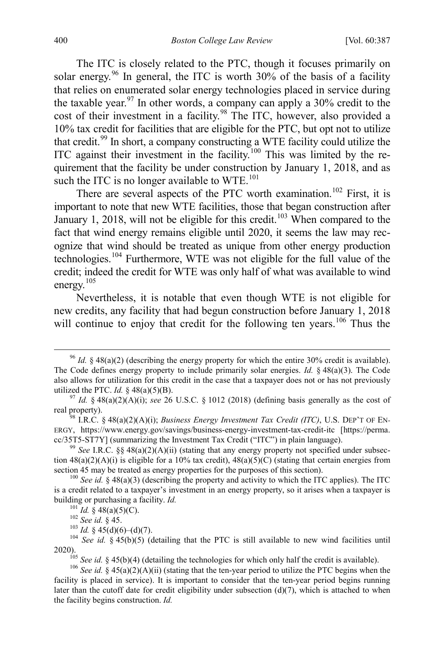The ITC is closely related to the PTC, though it focuses primarily on solar energy.<sup>[96](#page-14-0)</sup> In general, the ITC is worth  $30\%$  of the basis of a facility that relies on enumerated solar energy technologies placed in service during the taxable year.<sup>[97](#page-14-1)</sup> In other words, a company can apply a  $30\%$  credit to the cost of their investment in a facility.<sup>[98](#page-14-2)</sup> The ITC, however, also provided a 10% tax credit for facilities that are eligible for the PTC, but opt not to utilize that credit.<sup>[99](#page-14-3)</sup> In short, a company constructing a WTE facility could utilize the ITC against their investment in the facility.<sup>[100](#page-14-4)</sup> This was limited by the requirement that the facility be under construction by January 1, 2018, and as such the ITC is no longer available to  $WTE$ .<sup>[101](#page-14-5)</sup>

There are several aspects of the PTC worth examination.<sup>[102](#page-14-6)</sup> First, it is important to note that new WTE facilities, those that began construction after January 1, 2018, will not be eligible for this credit.<sup>[103](#page-14-7)</sup> When compared to the fact that wind energy remains eligible until 2020, it seems the law may recognize that wind should be treated as unique from other energy production technologies.[104](#page-14-8) Furthermore, WTE was not eligible for the full value of the credit; indeed the credit for WTE was only half of what was available to wind energy.[105](#page-14-9)

Nevertheless, it is notable that even though WTE is not eligible for new credits, any facility that had begun construction before January 1, 2018 will continue to enjoy that credit for the following ten years.<sup>[106](#page-14-10)</sup> Thus the

<span id="page-14-0"></span> <sup>96</sup> *Id.* § 48(a)(2) (describing the energy property for which the entire 30% credit is available). The Code defines energy property to include primarily solar energies. *Id.* § 48(a)(3). The Code also allows for utilization for this credit in the case that a taxpayer does not or has not previously utilized the PTC. *Id.* § 48(a)(5)(B).<br><sup>97</sup> *Id.* § 48(a)(2)(A)(i); *see* 26 U.S.C. § 1012 (2018) (defining basis generally as the cost of

<span id="page-14-1"></span>real property).<br><sup>98</sup> I.R.C. § 48(a)(2)(A)(i); *Business Energy Investment Tax Credit (ITC)*, U.S. DEP'T OF EN-

<span id="page-14-2"></span>ERGY, https://www.energy.gov/savings/business-energy-investment-tax-credit-itc [https://perma. cc/35T5-ST7Y] (summarizing the Investment Tax Credit ("ITC") in plain language).<br><sup>99</sup> *See* I.R.C. §§ 48(a)(2)(A)(ii) (stating that any energy property not specified under subsec-

<span id="page-14-3"></span>tion  $48(a)(2)(A)(i)$  is eligible for a 10% tax credit),  $48(a)(5)(C)$  (stating that certain energies from section 45 may be treated as energy properties for the purposes of this section).<br><sup>100</sup> *See id.* § 48(a)(3) (describing the property and activity to which the ITC applies). The ITC

<span id="page-14-5"></span><span id="page-14-4"></span>is a credit related to a taxpayer's investment in an energy property, so it arises when a taxpayer is building or purchasing a facility. *Id.*<br><sup>101</sup> *Id.* § 48(a)(5)(C).<br><sup>102</sup> *See id.* § 45.<br><sup>103</sup> *Id.* § 45(d)(6)–(d)(7).<br><sup>104</sup> *See id.* § 45(b)(5) (detailing that the PTC is still available to new wind facilities until

<span id="page-14-8"></span><span id="page-14-7"></span><span id="page-14-6"></span><sup>2020).</sup> <sup>105</sup> *See id.* § 45(b)(4) (detailing the technologies for which only half the credit is available). <sup>106</sup> *See id.* § 45(a)(2)(A)(ii) (stating that the ten-year period to utilize the PTC begins when the

<span id="page-14-10"></span><span id="page-14-9"></span>facility is placed in service). It is important to consider that the ten-year period begins running later than the cutoff date for credit eligibility under subsection  $(d)(7)$ , which is attached to when the facility begins construction. *Id.*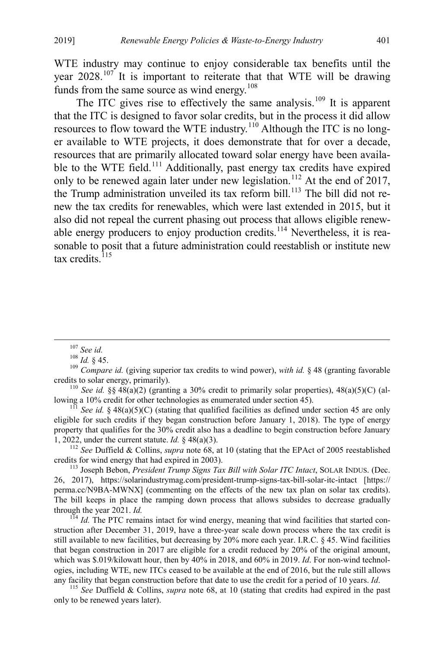WTE industry may continue to enjoy considerable tax benefits until the year 2028.<sup>[107](#page-15-1)</sup> It is important to reiterate that that WTE will be drawing funds from the same source as wind energy.<sup>[108](#page-15-2)</sup>

The ITC gives rise to effectively the same analysis.<sup>[109](#page-15-3)</sup> It is apparent that the ITC is designed to favor solar credits, but in the process it did allow resources to flow toward the WTE industry.<sup>[110](#page-15-4)</sup> Although the ITC is no longer available to WTE projects, it does demonstrate that for over a decade, resources that are primarily allocated toward solar energy have been availa-ble to the WTE field.<sup>[111](#page-15-5)</sup> Additionally, past energy tax credits have expired only to be renewed again later under new legislation.<sup>[112](#page-15-6)</sup> At the end of 2017, the Trump administration unveiled its tax reform bill.<sup>[113](#page-15-7)</sup> The bill did not renew the tax credits for renewables, which were last extended in 2015, but it also did not repeal the current phasing out process that allows eligible renew-able energy producers to enjoy production credits.<sup>[114](#page-15-8)</sup> Nevertheless, it is reasonable to posit that a future administration could reestablish or institute new tax credits. $115$ 

<span id="page-15-6"></span>1, 2022, under the current statute. *Id.* § 48(a)(3).<br><sup>112</sup> *See* Duffield & Collins, *supra* note [68,](#page-10-5) at 10 (stating that the EPAct of 2005 reestablished credits for wind energy that had expired in 2003).

<span id="page-15-7"></span><sup>113</sup> Joseph Bebon, *President Trump Signs Tax Bill with Solar ITC Intact*, SOLAR INDUS. (Dec. 26, 2017), https://solarindustrymag.com/president-trump-signs-tax-bill-solar-itc-intact [https:// perma.cc/N9BA-MWNX] (commenting on the effects of the new tax plan on solar tax credits). The bill keeps in place the ramping down process that allows subsides to decrease gradually through the year 2021. *Id.*<br><sup>114</sup> *Id.* The PTC remains intact for wind energy, meaning that wind facilities that started con-

<span id="page-15-8"></span>struction after December 31, 2019, have a three-year scale down process where the tax credit is still available to new facilities, but decreasing by 20% more each year. I.R.C. § 45. Wind facilities that began construction in 2017 are eligible for a credit reduced by 20% of the original amount, which was \$.019/kilowatt hour, then by 40% in 2018, and 60% in 2019. *Id*. For non-wind technologies, including WTE, new ITCs ceased to be available at the end of 2016, but the rule still allows

<span id="page-15-9"></span>any facility that began construction before that date to use the credit for a period of 10 years. *Id*. <sup>115</sup> *See* Duffield & Collins, *supra* note [68,](#page-10-5) at 10 (stating that credits had expired in the past only to be renewed years later).

<span id="page-15-0"></span>

<span id="page-15-2"></span><span id="page-15-1"></span><sup>&</sup>lt;sup>107</sup> *See id.*<br><sup>108</sup> *Id.* § 45.<br><sup>109</sup> *Compare id.* (giving superior tax credits to wind power), *with id.* § 48 (granting favorable

<span id="page-15-4"></span><span id="page-15-3"></span>credits to solar energy, primarily).<br><sup>110</sup> *See id.* §§ 48(a)(2) (granting a 30% credit to primarily solar properties), 48(a)(5)(C) (al-<br>lowing a 10% credit for other technologies as enumerated under section 45).

<span id="page-15-5"></span><sup>&</sup>lt;sup>111</sup> *See id.* § 48(a)(5)(C) (stating that qualified facilities as defined under section 45 are only eligible for such credits if they began construction before January 1, 2018). The type of energy property that qualifies for the 30% credit also has a deadline to begin construction before January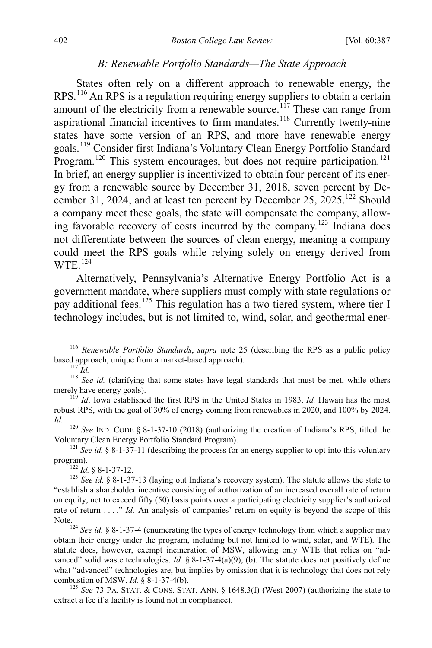#### *B: Renewable Portfolio Standards—The State Approach*

<span id="page-16-0"></span>States often rely on a different approach to renewable energy, the RPS.[116](#page-16-1) An RPS is a regulation requiring energy suppliers to obtain a certain amount of the electricity from a renewable source.<sup>[117](#page-16-2)</sup> These can range from aspirational financial incentives to firm mandates.<sup>[118](#page-16-3)</sup> Currently twenty-nine states have some version of an RPS, and more have renewable energy goals.[119](#page-16-4) Consider first Indiana's Voluntary Clean Energy Portfolio Standard Program.<sup>[120](#page-16-5)</sup> This system encourages, but does not require participation.<sup>[121](#page-16-6)</sup> In brief, an energy supplier is incentivized to obtain four percent of its energy from a renewable source by December 31, 2018, seven percent by December 31, 2024, and at least ten percent by December 25,  $2025$ ,  $122$  Should a company meet these goals, the state will compensate the company, allowing favorable recovery of costs incurred by the company.[123](#page-16-8) Indiana does not differentiate between the sources of clean energy, meaning a company could meet the RPS goals while relying solely on energy derived from  $WTE$ <sup>[124](#page-16-9)</sup>

Alternatively, Pennsylvania's Alternative Energy Portfolio Act is a government mandate, where suppliers must comply with state regulations or pay additional fees.<sup>[125](#page-16-10)</sup> This regulation has a two tiered system, where tier I technology includes, but is not limited to, wind, solar, and geothermal ener-

<span id="page-16-5"></span>*Id.* <sup>120</sup> *See* IND. CODE § 8-1-37-10 (2018) (authorizing the creation of Indiana's RPS, titled the Voluntary Clean Energy Portfolio Standard Program). <sup>121</sup> *See id.* § 8-1-37-11 (describing the process for an energy supplier to opt into this voluntary

<span id="page-16-6"></span>program).<br><sup>122</sup> *Id.* § 8-1-37-12.<br><sup>123</sup> *See id.* § 8-1-37-13 (laying out Indiana's recovery system). The statute allows the state to

<span id="page-16-8"></span><span id="page-16-7"></span>"establish a shareholder incentive consisting of authorization of an increased overall rate of return on equity, not to exceed fifty (50) basis points over a participating electricity supplier's authorized rate of return . . . ." *Id.* An analysis of companies' return on equity is beyond the scope of this

<span id="page-16-9"></span>Note.<br><sup>124</sup> *See id.* § 8-1-37-4 (enumerating the types of energy technology from which a supplier may obtain their energy under the program, including but not limited to wind, solar, and WTE). The statute does, however, exempt incineration of MSW, allowing only WTE that relies on "advanced" solid waste technologies. *Id.* § 8-1-37-4(a)(9), (b). The statute does not positively define what "advanced" technologies are, but implies by omission that it is technology that does not rely combustion of MSW. *Id.* § 8-1-37-4(b).<br><sup>125</sup> *See* 73 PA. STAT. & CONS. STAT. ANN. § 1648.3(f) (West 2007) (authorizing the state to

<span id="page-16-10"></span>extract a fee if a facility is found not in compliance).

<span id="page-16-1"></span><sup>&</sup>lt;sup>116</sup> *Renewable Portfolio Standards*, *supra* note [25](#page-5-0) (describing the RPS as a public policy based approach, unique from a market-based approach).

<span id="page-16-3"></span><span id="page-16-2"></span>based and a matrix of the matrix of the matrix of the matrix of the matrix of the matrix of the matrix of the matrix of the matrix of the matrix of the matrix of the matrix of the matrix of the matrix of the matrix of the

<span id="page-16-4"></span> $\frac{119}{10}$  *Id.* Iowa established the first RPS in the United States in 1983. *Id.* Hawaii has the most robust RPS, with the goal of 30% of energy coming from renewables in 2020, and 100% by 2024.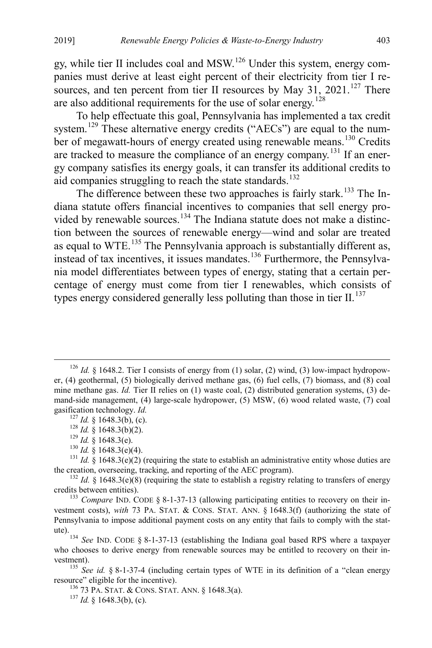gy, while tier II includes coal and  $MSW<sup>126</sup>$  $MSW<sup>126</sup>$  $MSW<sup>126</sup>$  Under this system, energy companies must derive at least eight percent of their electricity from tier I resources, and ten percent from tier II resources by May 31, 2021.<sup>127</sup> There are also additional requirements for the use of solar energy.[128](#page-17-3)

To help effectuate this goal, Pennsylvania has implemented a tax credit system.<sup>[129](#page-17-4)</sup> These alternative energy credits ("AECs") are equal to the num-ber of megawatt-hours of energy created using renewable means.<sup>[130](#page-17-5)</sup> Credits are tracked to measure the compliance of an energy company.<sup>[131](#page-17-6)</sup> If an energy company satisfies its energy goals, it can transfer its additional credits to aid companies struggling to reach the state standards.<sup>[132](#page-17-7)</sup>

The difference between these two approaches is fairly stark.<sup>[133](#page-17-8)</sup> The Indiana statute offers financial incentives to companies that sell energy pro-vided by renewable sources.<sup>[134](#page-17-9)</sup> The Indiana statute does not make a distinction between the sources of renewable energy—wind and solar are treated as equal to  $WTE$ <sup>[135](#page-17-10)</sup>. The Pennsylvania approach is substantially different as, instead of tax incentives, it issues mandates.[136](#page-17-11) Furthermore, the Pennsylvania model differentiates between types of energy, stating that a certain percentage of energy must come from tier I renewables, which consists of types energy considered generally less polluting than those in tier  $II$ .<sup>[137](#page-17-12)</sup>

<span id="page-17-1"></span><span id="page-17-0"></span><sup>&</sup>lt;sup>126</sup> *Id.* § 1648.2. Tier I consists of energy from (1) solar, (2) wind, (3) low-impact hydropower, (4) geothermal, (5) biologically derived methane gas, (6) fuel cells, (7) biomass, and (8) coal mine methane gas. *Id.* Tier II relies on (1) waste coal, (2) distributed generation systems, (3) demand-side management, (4) large-scale hydropower, (5) MSW, (6) wood related waste, (7) coal

<span id="page-17-4"></span><span id="page-17-3"></span><span id="page-17-2"></span>gasification technology. *Id.*<br><sup>127</sup> *Id.* § 1648.3(b), (c).<br><sup>128</sup> *Id.* § 1648.3(b)(2).<br><sup>129</sup> *Id.* § 1648.3(e)(4).<br><sup>130</sup> *Id.* § 1648.3(e)(4).<br><sup>131</sup> *Id.* § 1648.3(e)(2) (requiring the state to establish an administrati

<span id="page-17-7"></span><span id="page-17-6"></span><span id="page-17-5"></span><sup>&</sup>lt;sup>132</sup> *Id.* § 1648.3(e)(8) (requiring the state to establish a registry relating to transfers of energy credits between entities).

<span id="page-17-8"></span><sup>&</sup>lt;sup>133</sup> *Compare* IND. CODE  $\S 8$ -1-37-13 (allowing participating entities to recovery on their investment costs), *with* 73 PA. STAT. & CONS. STAT. ANN. § 1648.3(f) (authorizing the state of Pennsylvania to impose additional payment costs on any entity that fails to comply with the statute).134 *See* IND. CODE § 8-1-37-13 (establishing the Indiana goal based RPS where a taxpayer

<span id="page-17-9"></span>who chooses to derive energy from renewable sources may be entitled to recovery on their in-

<span id="page-17-12"></span><span id="page-17-11"></span><span id="page-17-10"></span>vestment).<br><sup>135</sup> *See id.* § 8-1-37-4 (including certain types of WTE in its definition of a "clean energy resource" eligible for the incentive).

<sup>&</sup>lt;sup>136</sup> 73 PA. STAT. & CONS. STAT. ANN. § 1648.3(a). <sup>137</sup> *Id.* § 1648.3(b), (c).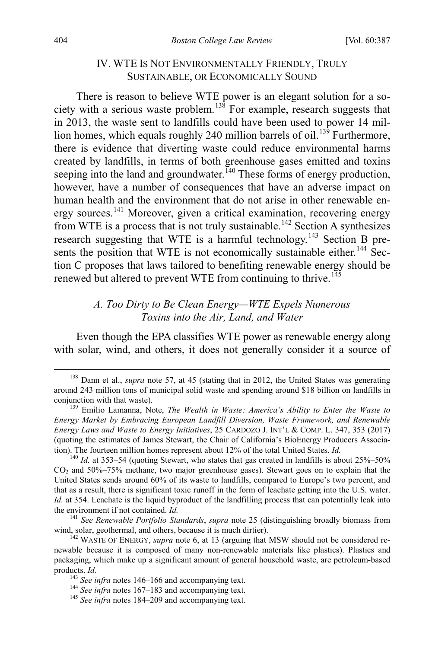### <span id="page-18-9"></span><span id="page-18-0"></span>IV. WTE IS NOT ENVIRONMENTALLY FRIENDLY, TRULY SUSTAINABLE, OR ECONOMICALLY SOUND

There is reason to believe WTE power is an elegant solution for a so-ciety with a serious waste problem.<sup>[138](#page-18-1)</sup> For example, research suggests that in 2013, the waste sent to landfills could have been used to power 14 mil-lion homes, which equals roughly 240 million barrels of oil.<sup>[139](#page-18-2)</sup> Furthermore, there is evidence that diverting waste could reduce environmental harms created by landfills, in terms of both greenhouse gases emitted and toxins seeping into the land and groundwater.  $\overline{140}$  $\overline{140}$  $\overline{140}$  These forms of energy production, however, have a number of consequences that have an adverse impact on human health and the environment that do not arise in other renewable energy sources.[141](#page-18-4) Moreover, given a critical examination, recovering energy from WTE is a process that is not truly sustainable.<sup>[142](#page-18-5)</sup> Section A synthesizes research suggesting that WTE is a harmful technology.<sup>[143](#page-18-6)</sup> Section B pre-sents the position that WTE is not economically sustainable either.<sup>[144](#page-18-7)</sup> Section C proposes that laws tailored to benefiting renewable energy should be renewed but altered to prevent WTE from continuing to thrive.<sup>[145](#page-18-8)</sup>

# *A. Too Dirty to Be Clean Energy—WTE Expels Numerous Toxins into the Air, Land, and Water*

Even though the EPA classifies WTE power as renewable energy along with solar, wind, and others, it does not generally consider it a source of

<span id="page-18-1"></span><sup>&</sup>lt;sup>138</sup> Dann et al., *supra* note [57,](#page-8-0) at 45 (stating that in 2012, the United States was generating around 243 million tons of municipal solid waste and spending around \$18 billion on landfills in conjunction with that waste). <sup>139</sup> Emilio Lamanna, Note, *The Wealth in Waste: America's Ability to Enter the Waste to* 

<span id="page-18-2"></span>*Energy Market by Embracing European Landfill Diversion, Waste Framework, and Renewable Energy Laws and Waste to Energy Initiatives*, 25 CARDOZO J. INT'L & COMP. L. 347, 353 (2017) (quoting the estimates of James Stewart, the Chair of California's BioEnergy Producers Association). The fourteen million homes represent about 12% of the total United States. *Id.* <sup>140</sup> *Id.* at 353–54 (quoting Stewart, who states that gas created in landfills is about 25%–50%

<span id="page-18-3"></span>CO2 and 50%–75% methane, two major greenhouse gases). Stewart goes on to explain that the United States sends around 60% of its waste to landfills, compared to Europe's two percent, and that as a result, there is significant toxic runoff in the form of leachate getting into the U.S. water. *Id.* at 354. Leachate is the liquid byproduct of the landfilling process that can potentially leak into the environment if not contained. *Id.* <sup>141</sup> *See Renewable Portfolio Standards*, *supra* note [25](#page-5-0) (distinguishing broadly biomass from

<span id="page-18-4"></span>wind, solar, geothermal, and others, because it is much dirtier).<br><sup>142</sup> WASTE OF ENERGY, *supra* note [6,](#page-2-9) at 13 (arguing that MSW should not be considered re-

<span id="page-18-6"></span><span id="page-18-5"></span>newable because it is composed of many non-renewable materials like plastics). Plastics and packaging, which make up a significant amount of general household waste, are petroleum-based products. *Id.* 143 *See infra* notes [146–](#page-19-0)[166](#page-21-0) and accompanying text. 144 *See infra* notes [167–](#page-21-1)[183 a](#page-23-0)nd accompanying text. 145 *See infra* notes [184–](#page-23-1)[209](#page-25-0) and accompanying text.

<span id="page-18-7"></span>

<span id="page-18-8"></span>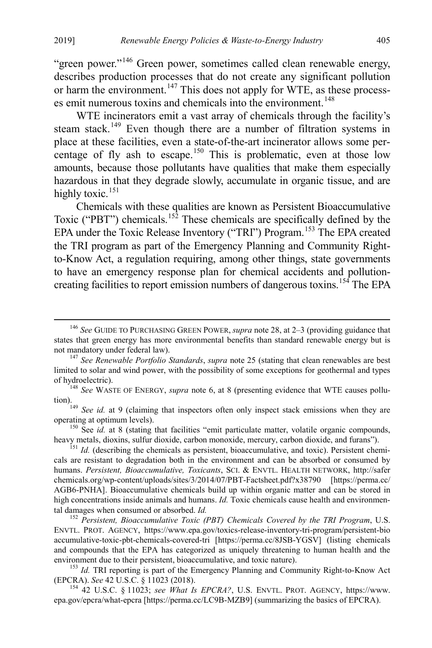<span id="page-19-0"></span>"green power."<sup>[146](#page-19-1)</sup> Green power, sometimes called clean renewable energy, describes production processes that do not create any significant pollution or harm the environment.<sup>[147](#page-19-2)</sup> This does not apply for WTE, as these process-es emit numerous toxins and chemicals into the environment.<sup>[148](#page-19-3)</sup>

WTE incinerators emit a vast array of chemicals through the facility's steam stack.<sup>[149](#page-19-4)</sup> Even though there are a number of filtration systems in place at these facilities, even a state-of-the-art incinerator allows some per-centage of fly ash to escape.<sup>[150](#page-19-5)</sup> This is problematic, even at those low amounts, because those pollutants have qualities that make them especially hazardous in that they degrade slowly, accumulate in organic tissue, and are highly toxic.<sup>[151](#page-19-6)</sup>

Chemicals with these qualities are known as Persistent Bioaccumulative Toxic ("PBT") chemicals.<sup>[152](#page-19-7)</sup> These chemicals are specifically defined by the EPA under the Toxic Release Inventory ("TRI") Program.<sup>[153](#page-19-8)</sup> The EPA created the TRI program as part of the Emergency Planning and Community Rightto-Know Act, a regulation requiring, among other things, state governments to have an emergency response plan for chemical accidents and pollutioncreating facilities to report emission numbers of dangerous toxins.[154](#page-19-9) The EPA

<span id="page-19-9"></span><sup>154</sup> 42 U.S.C. § 11023; *see What Is EPCRA?*, U.S. ENVTL. PROT. AGENCY, https://www. epa.gov/epcra/what-epcra [https://perma.cc/LC9B-MZB9] (summarizing the basics of EPCRA).

<span id="page-19-1"></span> <sup>146</sup> *See* GUIDE TO PURCHASING GREEN POWER, *supra* note [28,](#page-5-6) at 2–3 (providing guidance that states that green energy has more environmental benefits than standard renewable energy but is not mandatory under federal law). <sup>147</sup> *See Renewable Portfolio Standards*, *supra* note [25](#page-5-0) (stating that clean renewables are best

<span id="page-19-2"></span>limited to solar and wind power, with the possibility of some exceptions for geothermal and types of hydroelectric). <sup>148</sup> *See* WASTE OF ENERGY, *supra* note [6,](#page-2-9) at 8 (presenting evidence that WTE causes pollu-

<span id="page-19-4"></span><span id="page-19-3"></span>tion).<br><sup>149</sup> *See id.* at 9 (claiming that inspectors often only inspect stack emissions when they are operating at optimum levels).

<span id="page-19-5"></span><sup>&</sup>lt;sup>150</sup> See *id.* at 8 (stating that facilities "emit particulate matter, volatile organic compounds, heavy metals, dioxins, sulfur dioxide, carbon monoxide, mercury, carbon dioxide, and furans"). <sup>151</sup> *Id.* (describing the chemicals as persistent, bioaccumulative, and toxic). Persistent chemi-

<span id="page-19-6"></span>cals are resistant to degradation both in the environment and can be absorbed or consumed by humans. *Persistent, Bioaccumulative, Toxicants*, SCI. & ENVTL. HEALTH NETWORK, http://safer chemicals.org/wp-content/uploads/sites/3/2014/07/PBT-Factsheet.pdf?x38790 [https://perma.cc/ AGB6-PNHA]. Bioaccumulative chemicals build up within organic matter and can be stored in high concentrations inside animals and humans. *Id*. Toxic chemicals cause health and environmental damages when consumed or absorbed. *Id.* <sup>152</sup> *Persistent, Bioaccumulative Toxic (PBT) Chemicals Covered by the TRI Program*, U.S.

<span id="page-19-7"></span>ENVTL. PROT. AGENCY, https://www.epa.gov/toxics-release-inventory-tri-program/persistent-bio accumulative-toxic-pbt-chemicals-covered-tri [https://perma.cc/8JSB-YGSV] (listing chemicals and compounds that the EPA has categorized as uniquely threatening to human health and the

<span id="page-19-8"></span>environment due to their persistent, bioaccumulative, and toxic nature).<br>
<sup>153</sup> *Id.* TRI reporting is part of the Emergency Planning and Community Right-to-Know Act (EPCRA). See 42 U.S.C. § 11023 (2018).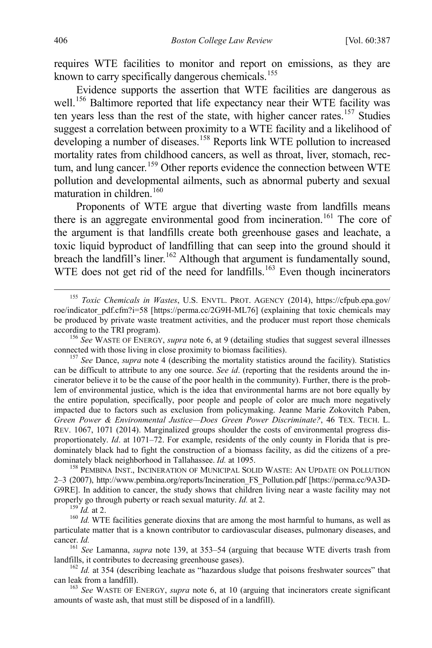requires WTE facilities to monitor and report on emissions, as they are known to carry specifically dangerous chemicals.<sup>[155](#page-20-0)</sup>

Evidence supports the assertion that WTE facilities are dangerous as well.<sup>[156](#page-20-1)</sup> Baltimore reported that life expectancy near their WTE facility was ten years less than the rest of the state, with higher cancer rates.<sup>[157](#page-20-2)</sup> Studies suggest a correlation between proximity to a WTE facility and a likelihood of developing a number of diseases.<sup>[158](#page-20-3)</sup> Reports link WTE pollution to increased mortality rates from childhood cancers, as well as throat, liver, stomach, rec-tum, and lung cancer.<sup>[159](#page-20-4)</sup> Other reports evidence the connection between WTE pollution and developmental ailments, such as abnormal puberty and sexual maturation in children.<sup>[160](#page-20-5)</sup>

Proponents of WTE argue that diverting waste from landfills means there is an aggregate environmental good from incineration.<sup>[161](#page-20-6)</sup> The core of the argument is that landfills create both greenhouse gases and leachate, a toxic liquid byproduct of landfilling that can seep into the ground should it breach the landfill's liner.<sup>[162](#page-20-7)</sup> Although that argument is fundamentally sound, WTE does not get rid of the need for landfills.<sup>[163](#page-20-8)</sup> Even though incinerators

<span id="page-20-3"></span>dominately black neighborhood in Tallahassee. *Id.* at 1095.<br><sup>158</sup> PEMBINA INST., INCINERATION OF MUNICIPAL SOLID WASTE: AN UPDATE ON POLLUTION 2–3 (2007), http://www.pembina.org/reports/Incineration\_FS\_Pollution.pdf [https://perma.cc/9A3D-G9RE]. In addition to cancer, the study shows that children living near a waste facility may not properly go through puberty or reach sexual maturity. *Id.* at 2.<br><sup>159</sup> *Id.* at 2.<br><sup>160</sup> *Id.* WTE facilities generate dioxins that are among the most harmful to humans, as well as

<span id="page-20-5"></span><span id="page-20-4"></span>particulate matter that is a known contributor to cardiovascular diseases, pulmonary diseases, and

<span id="page-20-6"></span>cancer. *Id.* <sup>161</sup> *See* Lamanna, *supra* note [139,](#page-18-9) at 353–54 (arguing that because WTE diverts trash from landfills, it contributes to decreasing greenhouse gases). <sup>162</sup> *Id.* at 354 (describing leachate as "hazardous sludge that poisons freshwater sources" that

<span id="page-20-7"></span>can leak from a landfill). <sup>163</sup> *See* WASTE OF ENERGY, *supra* note [6,](#page-2-9) at 10 (arguing that incinerators create significant

<span id="page-20-8"></span>amounts of waste ash, that must still be disposed of in a landfill).

<span id="page-20-0"></span> <sup>155</sup> *Toxic Chemicals in Wastes*, U.S. ENVTL. PROT. AGENCY (2014), https://cfpub.epa.gov/ roe/indicator\_pdf.cfm?i=58 [https://perma.cc/2G9H-ML76] (explaining that toxic chemicals may be produced by private waste treatment activities, and the producer must report those chemicals according to the TRI program). <sup>156</sup> *See* WASTE OF ENERGY, *supra* note [6,](#page-2-9) at 9 (detailing studies that suggest several illnesses

<span id="page-20-1"></span>connected with those living in close proximity to biomass facilities). <sup>157</sup> *See* Dance, *supra* note [4](#page-2-0) (describing the mortality statistics around the facility). Statistics

<span id="page-20-2"></span>can be difficult to attribute to any one source. *See id*. (reporting that the residents around the incinerator believe it to be the cause of the poor health in the community). Further, there is the problem of environmental justice, which is the idea that environmental harms are not bore equally by the entire population, specifically, poor people and people of color are much more negatively impacted due to factors such as exclusion from policymaking. Jeanne Marie Zokovitch Paben, *Green Power & Environmental Justice—Does Green Power Discriminate?*, 46 TEX. TECH. L. REV. 1067, 1071 (2014). Marginalized groups shoulder the costs of environmental progress disproportionately. *Id*. at 1071–72. For example, residents of the only county in Florida that is predominately black had to fight the construction of a biomass facility, as did the citizens of a pre-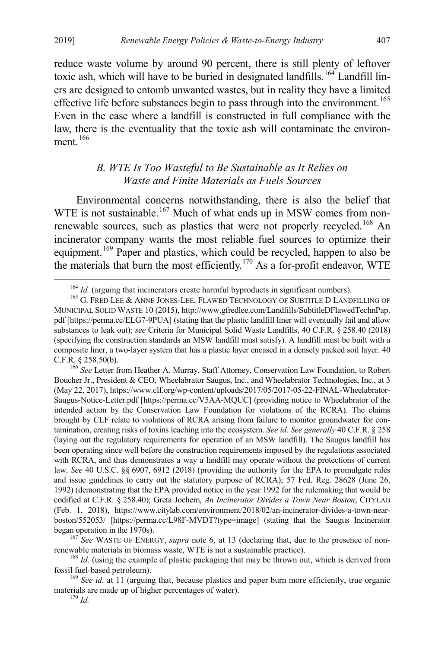reduce waste volume by around 90 percent, there is still plenty of leftover toxic ash, which will have to be buried in designated landfills.<sup>[164](#page-21-2)</sup> Landfill liners are designed to entomb unwanted wastes, but in reality they have a limited effective life before substances begin to pass through into the environment.<sup>[165](#page-21-3)</sup> Even in the case where a landfill is constructed in full compliance with the law, there is the eventuality that the toxic ash will contaminate the environment $166$ 

# <span id="page-21-1"></span><span id="page-21-0"></span>*B. WTE Is Too Wasteful to Be Sustainable as It Relies on Waste and Finite Materials as Fuels Sources*

Environmental concerns notwithstanding, there is also the belief that WTE is not sustainable.<sup>[167](#page-21-5)</sup> Much of what ends up in MSW comes from non-renewable sources, such as plastics that were not properly recycled.<sup>[168](#page-21-6)</sup> An incinerator company wants the most reliable fuel sources to optimize their equipment.<sup>[169](#page-21-7)</sup> Paper and plastics, which could be recycled, happen to also be the materials that burn the most efficiently.[170](#page-21-8) As a for-profit endeavor, WTE

<span id="page-21-4"></span>Boucher Jr., President & CEO, Wheelabrator Saugus, Inc., and Wheelabrator Technologies, Inc., at 3 (May 22, 2017), https://www.clf.org/wp-content/uploads/2017/05/2017-05-22-FINAL-Wheelabrator-Saugus-Notice-Letter.pdf [https://perma.cc/V5AA-MQUC] (providing notice to Wheelabrator of the intended action by the Conservation Law Foundation for violations of the RCRA). The claims brought by CLF relate to violations of RCRA arising from failure to monitor groundwater for contamination, creating risks of toxins leaching into the ecosystem. *See id. See generally* 40 C.F.R. § 258 (laying out the regulatory requirements for operation of an MSW landfill). The Saugus landfill has been operating since well before the construction requirements imposed by the regulations associated with RCRA, and thus demonstrates a way a landfill may operate without the protections of current law. *See* 40 U.S.C. §§ 6907, 6912 (2018) (providing the authority for the EPA to promulgate rules and issue guidelines to carry out the statutory purpose of RCRA); 57 Fed. Reg. 28628 (June 26, 1992) (demonstrating that the EPA provided notice in the year 1992 for the rulemaking that would be codified at C.F.R. § 258.40); Greta Jochem, *An Incinerator Divides a Town Near Boston*, CITYLAB (Feb. 1, 2018), https://www.citylab.com/environment/2018/02/an-incinerator-divides-a-town-nearboston/552053/ [https://perma.cc/L98F-MVDT?type=image] (stating that the Saugus Incinerator began operation in the 1970s). <sup>167</sup> *See* WASTE OF ENERGY, *supra* note [6,](#page-2-9) at 13 (declaring that, due to the presence of non-

<span id="page-21-5"></span>

<span id="page-21-6"></span>renewable materials in biomass waste, WTE is not a sustainable practice).<br><sup>168</sup> *Id.* (using the example of plastic packaging that may be thrown out, which is derived from fossil fuel-based petroleum).

<span id="page-21-8"></span><span id="page-21-7"></span><sup>169</sup> See id. at 11 (arguing that, because plastics and paper burn more efficiently, true organic materials are made up of higher percentages of water). <sup>170</sup> *Id.*

<span id="page-21-3"></span><span id="page-21-2"></span><sup>&</sup>lt;sup>164</sup> *Id.* (arguing that incinerators create harmful byproducts in significant numbers).<br><sup>165</sup> G. FRED LEE & ANNE JONES-LEE, FLAWED TECHNOLOGY OF SUBTITLE D LANDFILLING OF MUNICIPAL SOLID WASTE 10 (2015), http://www.gfredlee.com/Landfills/SubtitleDFlawedTechnPap. pdf [https://perma.cc/ELG7-9PUA] (stating that the plastic landfill liner will eventually fail and allow substances to leak out); *see* Criteria for Municipal Solid Waste Landfills, 40 C.F.R. § 258.40 (2018) (specifying the construction standards an MSW landfill must satisfy). A landfill must be built with a composite liner, a two-layer system that has a plastic layer encased in a densely packed soil layer. 40 C.F.R. § 258.50(b). <sup>166</sup> *See* Letter from Heather A. Murray, Staff Attorney, Conservation Law Foundation, to Robert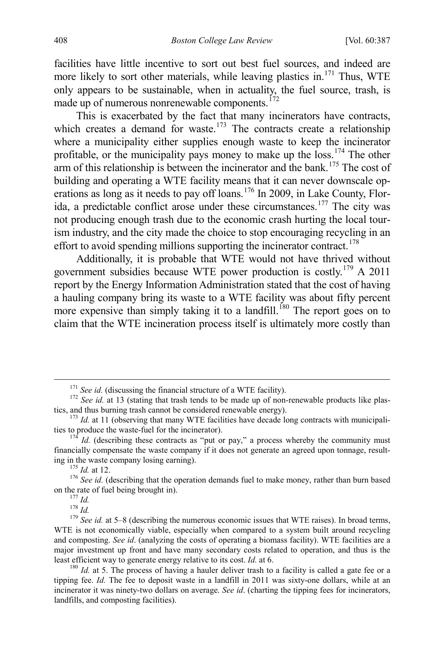facilities have little incentive to sort out best fuel sources, and indeed are more likely to sort other materials, while leaving plastics in.<sup>[171](#page-22-0)</sup> Thus, WTE only appears to be sustainable, when in actuality, the fuel source, trash, is made up of numerous nonrenewable components.<sup>[172](#page-22-1)</sup>

This is exacerbated by the fact that many incinerators have contracts, which creates a demand for waste.<sup>[173](#page-22-2)</sup> The contracts create a relationship where a municipality either supplies enough waste to keep the incinerator profitable, or the municipality pays money to make up the  $loss$ .<sup>[174](#page-22-3)</sup> The other  $a$ rm of this relationship is between the incinerator and the bank.<sup>[175](#page-22-4)</sup> The cost of building and operating a WTE facility means that it can never downscale op-erations as long as it needs to pay off loans.<sup>[176](#page-22-5)</sup> In 2009, in Lake County, Florida, a predictable conflict arose under these circumstances.[177](#page-22-6) The city was not producing enough trash due to the economic crash hurting the local tourism industry, and the city made the choice to stop encouraging recycling in an effort to avoid spending millions supporting the incinerator contract.<sup>[178](#page-22-7)</sup>

Additionally, it is probable that WTE would not have thrived without government subsidies because WTE power production is costly.<sup>[179](#page-22-8)</sup> A 2011 report by the Energy Information Administration stated that the cost of having a hauling company bring its waste to a WTE facility was about fifty percent more expensive than simply taking it to a landfill.<sup>[180](#page-22-9)</sup> The report goes on to claim that the WTE incineration process itself is ultimately more costly than

<span id="page-22-1"></span><span id="page-22-0"></span><sup>&</sup>lt;sup>171</sup> *See id.* (discussing the financial structure of a WTE facility).<br><sup>172</sup> *See id.* at 13 (stating that trash tends to be made up of non-renewable products like plas-<br>tics, and thus burning trash cannot be considered

<span id="page-22-2"></span> $t^{173}$  *Id.* at 11 (observing that many WTE facilities have decade long contracts with municipalities to produce the waste-fuel for the incinerator).

<span id="page-22-3"></span> $174$  *Id.* (describing these contracts as "put or pay," a process whereby the community must financially compensate the waste company if it does not generate an agreed upon tonnage, result-

<span id="page-22-5"></span><span id="page-22-4"></span>ing in the waste company losing earning).<br>
<sup>175</sup> *Id.* at 12.<br>
<sup>176</sup> *See id.* (describing that the operation demands fuel to make money, rather than burn based<br>
on the rate of fuel being brought in).<br>
<sup>177</sup> *Id.* 

<span id="page-22-8"></span><span id="page-22-7"></span><span id="page-22-6"></span><sup>&</sup>lt;sup>178</sup> *Id.* 178 *Id.* 178 *Id.* 178 *Id.* 179 *See id.* at 5–8 (describing the numerous economic issues that WTE raises). In broad terms, WTE is not economically viable, especially when compared to a system built around recycling and composting. *See id*. (analyzing the costs of operating a biomass facility). WTE facilities are a major investment up front and have many secondary costs related to operation, and thus is the least efficient way to generate energy relative to its cost. *Id.* at 6.<br><sup>180</sup> *Id.* at 5. The process of having a hauler deliver trash to a facility is called a gate fee or a

<span id="page-22-9"></span>tipping fee. *Id.* The fee to deposit waste in a landfill in 2011 was sixty-one dollars, while at an incinerator it was ninety-two dollars on average. *See id*. (charting the tipping fees for incinerators, landfills, and composting facilities).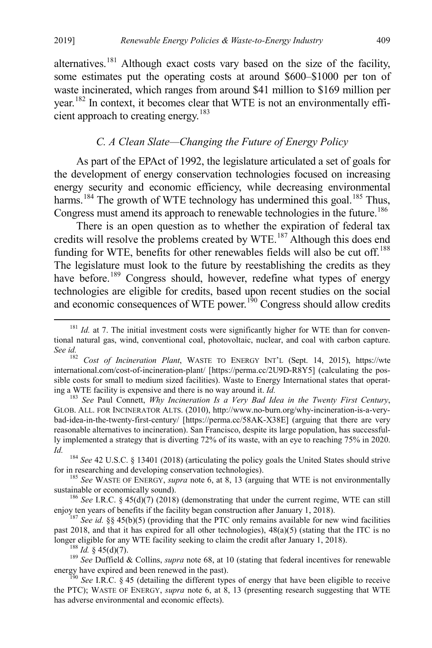alternatives.<sup>[181](#page-23-2)</sup> Although exact costs vary based on the size of the facility, some estimates put the operating costs at around \$600–\$1000 per ton of waste incinerated, which ranges from around \$41 million to \$169 million per year.[182](#page-23-3) In context, it becomes clear that WTE is not an environmentally effi-cient approach to creating energy.<sup>[183](#page-23-4)</sup>

#### <span id="page-23-0"></span>*C. A Clean Slate—Changing the Future of Energy Policy*

As part of the EPAct of 1992, the legislature articulated a set of goals for the development of energy conservation technologies focused on increasing energy security and economic efficiency, while decreasing environmental harms.<sup>[184](#page-23-5)</sup> The growth of WTE technology has undermined this goal.<sup>[185](#page-23-6)</sup> Thus, Congress must amend its approach to renewable technologies in the future.<sup>[186](#page-23-7)</sup>

<span id="page-23-1"></span>There is an open question as to whether the expiration of federal tax credits will resolve the problems created by WTE.<sup>[187](#page-23-8)</sup> Although this does end funding for WTE, benefits for other renewables fields will also be cut off.<sup>[188](#page-23-9)</sup> The legislature must look to the future by reestablishing the credits as they have before.<sup>[189](#page-23-10)</sup> Congress should, however, redefine what types of energy technologies are eligible for credits, based upon recent studies on the social and economic consequences of WTE power.<sup>[190](#page-23-11)</sup> Congress should allow credits

<span id="page-23-4"></span>GLOB. ALL. FOR INCINERATOR ALTS. (2010), http://www.no-burn.org/why-incineration-is-a-verybad-idea-in-the-twenty-first-century/ [https://perma.cc/58AK-X38E] (arguing that there are very reasonable alternatives to incineration). San Francisco, despite its large population, has successfully implemented a strategy that is diverting 72% of its waste, with an eye to reaching 75% in 2020. *Id.* <sup>184</sup> *See* 42 U.S.C. § 13401 (2018) (articulating the policy goals the United States should strive

<span id="page-23-5"></span>

<span id="page-23-6"></span>for in researching and developing conservation technologies).<br><sup>185</sup> *See* WASTE OF ENERGY, *supra* note [6,](#page-2-9) at 8, 13 (arguing that WTE is not environmentally sustainable or economically sound).

<span id="page-23-7"></span><sup>186</sup> *See* I.R.C. § 45(d)(7) (2018) (demonstrating that under the current regime, WTE can still enjoy ten years of benefits if the facility began construction after January 1, 2018).

<span id="page-23-8"></span><sup>187</sup> See id. §§ 45(b)(5) (providing that the PTC only remains available for new wind facilities past 2018, and that it has expired for all other technologies), 48(a)(5) (stating that the ITC is no

<span id="page-23-9"></span>longer eligible for any WTE facility seeking to claim the credit after January 1, 2018).<br><sup>188</sup> *Id.* § 45(d)(7).<br><sup>189</sup> *See* Duffield & Collins, *supra* not[e 68,](#page-10-5) at 10 (stating that federal incentives for renewable energy

<span id="page-23-11"></span><span id="page-23-10"></span> $\frac{190}{2}$  *See I.R.C.* § 45 (detailing the different types of energy that have been eligible to receive the PTC); WASTE OF ENERGY, *supra* note [6,](#page-2-9) at 8, 13 (presenting research suggesting that WTE has adverse environmental and economic effects).

<span id="page-23-2"></span><sup>&</sup>lt;sup>181</sup> *Id.* at 7. The initial investment costs were significantly higher for WTE than for conventional natural gas, wind, conventional coal, photovoltaic, nuclear, and coal with carbon capture. *See id.* <sup>182</sup> *Cost of Incineration Plant*, WASTE TO ENERGY INT'L (Sept. 14, 2015), https://wte

<span id="page-23-3"></span>international.com/cost-of-incineration-plant/ [https://perma.cc/2U9D-R8Y5] (calculating the possible costs for small to medium sized facilities). Waste to Energy International states that operating a WTE facility is expensive and there is no way around it. *Id.* <sup>183</sup> *See Paul Connett, Why Incineration Is a Very Bad Idea in the Twenty First Century*,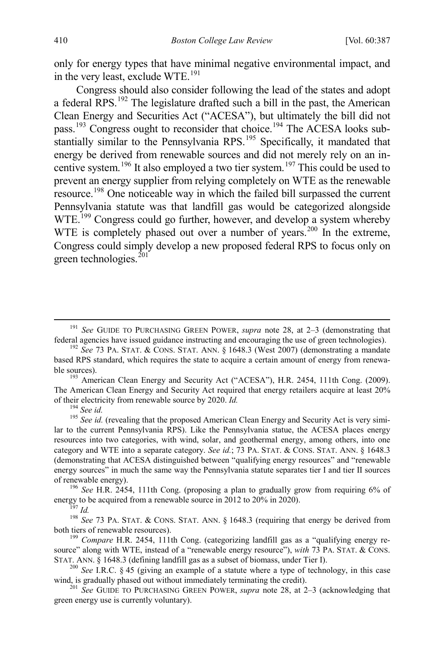only for energy types that have minimal negative environmental impact, and in the very least, exclude  $WTE$ <sup>[191](#page-24-0)</sup>

Congress should also consider following the lead of the states and adopt a federal RPS.<sup>[192](#page-24-1)</sup> The legislature drafted such a bill in the past, the American Clean Energy and Securities Act ("ACESA"), but ultimately the bill did not pass.<sup>[193](#page-24-2)</sup> Congress ought to reconsider that choice.<sup>[194](#page-24-3)</sup> The ACESA looks sub-stantially similar to the Pennsylvania RPS.<sup>[195](#page-24-4)</sup> Specifically, it mandated that energy be derived from renewable sources and did not merely rely on an incentive system.[196](#page-24-5) It also employed a two tier system.[197](#page-24-6) This could be used to prevent an energy supplier from relying completely on WTE as the renewable resource.[198](#page-24-7) One noticeable way in which the failed bill surpassed the current Pennsylvania statute was that landfill gas would be categorized alongside WTE.<sup>[199](#page-24-8)</sup> Congress could go further, however, and develop a system whereby WTE is completely phased out over a number of years.<sup>[200](#page-24-9)</sup> In the extreme, Congress could simply develop a new proposed federal RPS to focus only on green technologies. $^{201}$  $^{201}$  $^{201}$ 

<span id="page-24-2"></span>The American Clean Energy and Security Act required that energy retailers acquire at least 20% of their electricity from renewable source by 2020. *Id.* <sup>194</sup> *See id.* 195 *See id.* (revealing that the proposed American Clean Energy and Security Act is very simi-

<span id="page-24-4"></span><span id="page-24-3"></span>lar to the current Pennsylvania RPS). Like the Pennsylvania statue, the ACESA places energy resources into two categories, with wind, solar, and geothermal energy, among others, into one category and WTE into a separate category. *See id.*; 73 PA. STAT. & CONS. STAT. ANN. § 1648.3 (demonstrating that ACESA distinguished between "qualifying energy resources" and "renewable energy sources" in much the same way the Pennsylvania statute separates tier I and tier II sources

<span id="page-24-5"></span>of renewable energy).<br><sup>196</sup> *See* H.R. 2454, 111th Cong. (proposing a plan to gradually grow from requiring 6% of energy to be acquired from a renewable source in 2012 to 20% in 2020).

<span id="page-24-7"></span><span id="page-24-6"></span><sup>195</sup>7 Id.<br><sup>198</sup> See 73 PA. STAT. & CONS. STAT. ANN. § 1648.3 (requiring that energy be derived from both tiers of renewable resources). <sup>199</sup> *Compare* H.R. 2454, 111th Cong. (categorizing landfill gas as a "qualifying energy re-

<span id="page-24-8"></span>source" along with WTE, instead of a "renewable energy resource"), *with* 73 PA. STAT. & CONS. STAT. ANN. § 1648.3 (defining landfill gas as a subset of biomass, under Tier I).<br><sup>200</sup> *See* I.R.C. § 45 (giving an example of a statute where a type of technology, in this case

<span id="page-24-10"></span>green energy use is currently voluntary).

<span id="page-24-0"></span><sup>&</sup>lt;sup>191</sup> *See* GUIDE TO PURCHASING GREEN POWER, *supra* note [28,](#page-5-6) at 2–3 (demonstrating that federal agencies have issued guidance instructing and encouraging the use of green technologies).

<span id="page-24-1"></span><sup>&</sup>lt;sup>192</sup> See 73 PA. STAT. & CONS. STAT. ANN. § 1648.3 (West 2007) (demonstrating a mandate based RPS standard, which requires the state to acquire a certain amount of energy from renewable sources).<br><sup>193</sup> American Clean Energy and Security Act ("ACESA"), H.R. 2454, 111th Cong. (2009).

<span id="page-24-9"></span>wind, is gradually phased out without immediately terminating the credit).<br><sup>201</sup> *See* GUIDE TO PURCHASING GREEN POWER, *supra* note [28,](#page-5-6) at 2–3 (acknowledging that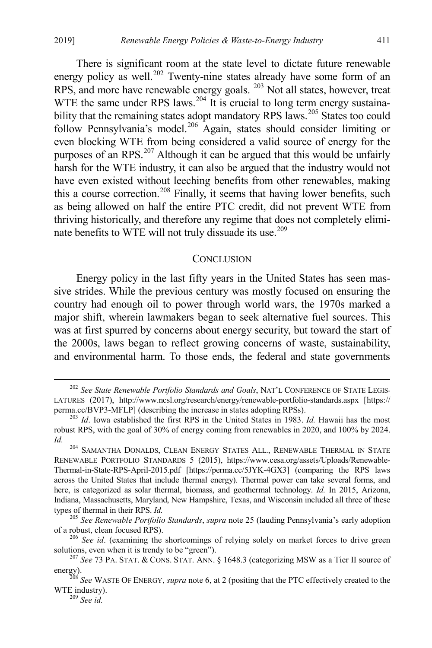2019] *Renewable Energy Policies & Waste-to-Energy Industry* 411

There is significant room at the state level to dictate future renewable energy policy as well.<sup>[202](#page-25-1)</sup> Twenty-nine states already have some form of an RPS, and more have renewable energy goals. [203](#page-25-2) Not all states, however, treat WTE the same under RPS laws.<sup>[204](#page-25-3)</sup> It is crucial to long term energy sustaina-bility that the remaining states adopt mandatory RPS laws.<sup>[205](#page-25-4)</sup> States too could follow Pennsylvania's model.<sup>[206](#page-25-5)</sup> Again, states should consider limiting or even blocking WTE from being considered a valid source of energy for the purposes of an RPS.<sup>[207](#page-25-6)</sup> Although it can be argued that this would be unfairly harsh for the WTE industry, it can also be argued that the industry would not have even existed without leeching benefits from other renewables, making this a course correction.<sup>[208](#page-25-7)</sup> Finally, it seems that having lower benefits, such as being allowed on half the entire PTC credit, did not prevent WTE from thriving historically, and therefore any regime that does not completely elimi-nate benefits to WTE will not truly dissuade its use.<sup>[209](#page-25-8)</sup>

#### <span id="page-25-0"></span>**CONCLUSION**

Energy policy in the last fifty years in the United States has seen massive strides. While the previous century was mostly focused on ensuring the country had enough oil to power through world wars, the 1970s marked a major shift, wherein lawmakers began to seek alternative fuel sources. This was at first spurred by concerns about energy security, but toward the start of the 2000s, laws began to reflect growing concerns of waste, sustainability, and environmental harm. To those ends, the federal and state governments

<span id="page-25-1"></span> <sup>202</sup> *See State Renewable Portfolio Standards and Goals*, NAT'L CONFERENCE OF STATE LEGIS-LATURES (2017), http://www.ncsl.org/research/energy/renewable-portfolio-standards.aspx [https:// perma.cc/BVP3-MFLP] (describing the increase in states adopting RPSs). <sup>203</sup> *Id*. Iowa established the first RPS in the United States in 1983. *Id.* Hawaii has the most

<span id="page-25-2"></span>robust RPS, with the goal of 30% of energy coming from renewables in 2020, and 100% by 2024. *Id.* <sup>204</sup> SAMANTHA DONALDS, CLEAN ENERGY STATES ALL., RENEWABLE THERMAL IN STATE

<span id="page-25-3"></span>RENEWABLE PORTFOLIO STANDARDS 5 (2015), https://www.cesa.org/assets/Uploads/Renewable-Thermal-in-State-RPS-April-2015.pdf [https://perma.cc/5JYK-4GX3] (comparing the RPS laws across the United States that include thermal energy). Thermal power can take several forms, and here, is categorized as solar thermal, biomass, and geothermal technology. *Id.* In 2015, Arizona, Indiana, Massachusetts, Maryland, New Hampshire, Texas, and Wisconsin included all three of these

<span id="page-25-4"></span>types of thermal in their RPS. *Id.* 205 *See Renewable Portfolio Standards*, *supra* not[e 25](#page-5-0) (lauding Pennsylvania's early adoption of a robust, clean focused RPS).

<span id="page-25-5"></span><sup>&</sup>lt;sup>206</sup> *See id*. (examining the shortcomings of relying solely on market forces to drive green solutions, even when it is trendy to be "green").

<span id="page-25-6"></span><sup>&</sup>lt;sup>207</sup> See 73 PA. STAT. & CONS. STAT. ANN. § 1648.3 (categorizing MSW as a Tier II source of

<span id="page-25-8"></span><span id="page-25-7"></span>energy). <sup>208</sup> *See* WASTE OF ENERGY, *supra* not[e 6,](#page-2-9) at 2 (positing that the PTC effectively created to the WTE industry). <sup>209</sup> *See id.*